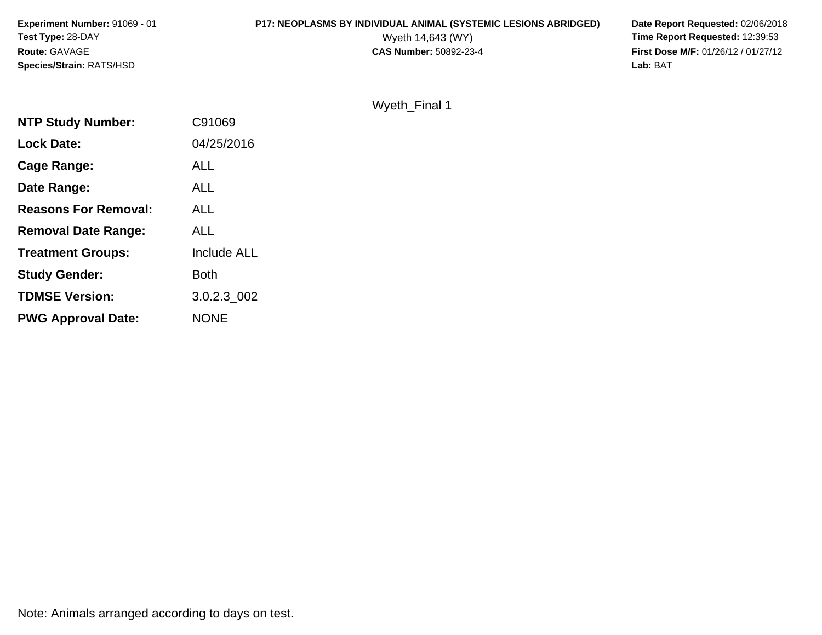# **P17: NEOPLASMS BY INDIVIDUAL ANIMAL (SYSTEMIC LESIONS ABRIDGED)** Date Report Requested: 02/06/2018<br>Wyeth 14,643 (WY) **Time Report Requested: 12:39:53**

Wyeth 14,643 (WY) **Time Report Requested:** 12:39:53<br>**CAS Number:** 50892-23-4 **Time Report Requested:** 12:39:53 **First Dose M/F:** 01/26/12 / 01/27/12<br>Lab: BAT

### Wyeth\_Final 1

| C91069      |
|-------------|
| 04/25/2016  |
| <b>ALL</b>  |
| <b>ALL</b>  |
| <b>ALL</b>  |
| <b>ALL</b>  |
| Include ALL |
| <b>Both</b> |
| 3.0.2.3 002 |
| <b>NONE</b> |
|             |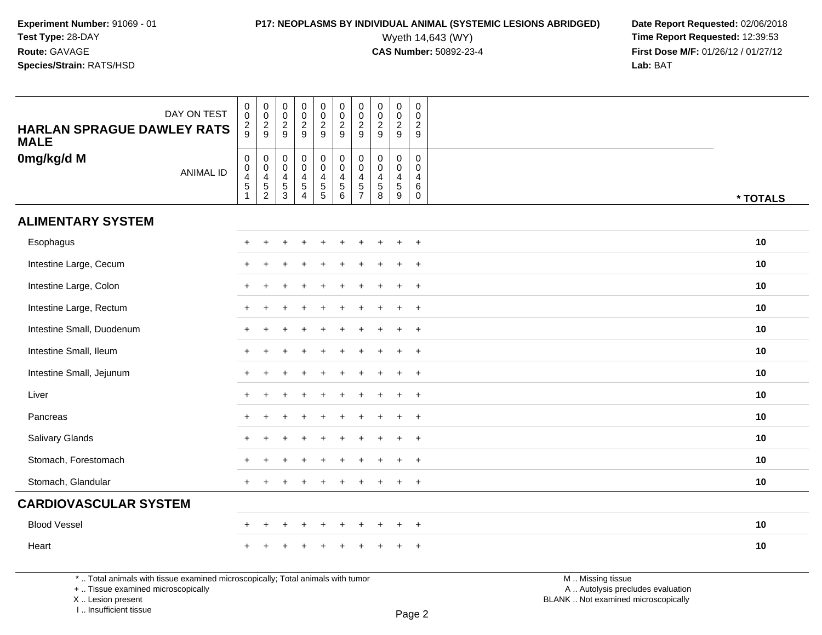# **P17: NEOPLASMS BY INDIVIDUAL ANIMAL (SYSTEMIC LESIONS ABRIDGED)** Date Report Requested: 02/06/2018<br>Wyeth 14,643 (WY) **Time Report Requested:** 12:39:53

Wyeth 14,643 (WY) **Time Report Requested:** 12:39:53<br>**CAS Number:** 50892-23-4 **Time Report Requested:** 12:39:53 **First Dose M/F:** 01/26/12 / 01/27/12<br>**Lab:** BAT **Lab:** BAT

| DAY ON TEST<br><b>HARLAN SPRAGUE DAWLEY RATS</b><br><b>MALE</b> | $\,0\,$<br>$\mathbf 0$<br>$\frac{2}{9}$                                               | $\begin{smallmatrix}0\\0\end{smallmatrix}$<br>$\frac{2}{9}$   | 00029                                                                   | $_{\rm 0}^{\rm 0}$<br>$\frac{2}{9}$                                                                  | $\begin{array}{c} 0 \\ 0 \\ 2 \\ 9 \end{array}$ |                                                                | $\pmb{0}$<br>$\pmb{0}$<br>$\frac{2}{9}$                                       | $\pmb{0}$<br>$\frac{0}{2}$                       | $\begin{smallmatrix}0\\0\end{smallmatrix}$<br>$\frac{2}{9}$ | $_{\rm 0}^{\rm 0}$<br>$\frac{2}{9}$                           |                 |
|-----------------------------------------------------------------|---------------------------------------------------------------------------------------|---------------------------------------------------------------|-------------------------------------------------------------------------|------------------------------------------------------------------------------------------------------|-------------------------------------------------|----------------------------------------------------------------|-------------------------------------------------------------------------------|--------------------------------------------------|-------------------------------------------------------------|---------------------------------------------------------------|-----------------|
| 0mg/kg/d M<br><b>ANIMAL ID</b>                                  | $\mathbf 0$<br>$\mathbf 0$<br>$\overline{\mathbf{4}}$<br>$\sqrt{5}$<br>$\overline{1}$ | $\mathbf 0$<br>$\mathbf 0$<br>$\frac{4}{5}$<br>$\overline{2}$ | $\mathbf 0$<br>$\mathsf{O}\xspace$<br>$\overline{\mathbf{4}}$<br>5<br>3 | $\mathsf{O}\xspace$<br>$\overline{0}$<br>$\overline{\mathbf{4}}$<br>$\overline{5}$<br>$\overline{4}$ | $\pmb{0}$<br>$\overline{0}$<br>$\frac{4}{5}$    | $_{\rm 0}^{\rm 0}$<br>$\overline{4}$<br>$\,$ 5 $\,$<br>$\,6\,$ | $\mathbf 0$<br>$\mathbf 0$<br>$\overline{4}$<br>$\,$ 5 $\,$<br>$\overline{7}$ | $\mathbf 0$<br>$\mathbf 0$<br>$\frac{4}{5}$<br>8 | $\mathbf 0$<br>$\mathbf 0$<br>$\overline{4}$<br>5<br>9      | $\mathbf 0$<br>$\Omega$<br>$\overline{4}$<br>6<br>$\mathbf 0$ | * TOTALS        |
| <b>ALIMENTARY SYSTEM</b>                                        |                                                                                       |                                                               |                                                                         |                                                                                                      |                                                 |                                                                |                                                                               |                                                  |                                                             |                                                               |                 |
| Esophagus                                                       | ÷                                                                                     |                                                               |                                                                         |                                                                                                      |                                                 |                                                                |                                                                               |                                                  | $\overline{1}$                                              | $+$                                                           | 10              |
| Intestine Large, Cecum                                          |                                                                                       |                                                               |                                                                         |                                                                                                      |                                                 |                                                                |                                                                               |                                                  | ÷.                                                          | $+$                                                           | 10              |
| Intestine Large, Colon                                          | ÷                                                                                     |                                                               |                                                                         |                                                                                                      |                                                 |                                                                |                                                                               |                                                  | $\ddot{}$                                                   | $+$                                                           | 10              |
| Intestine Large, Rectum                                         |                                                                                       |                                                               |                                                                         |                                                                                                      |                                                 |                                                                |                                                                               |                                                  | ÷.                                                          | $+$                                                           | 10 <sup>°</sup> |
| Intestine Small, Duodenum                                       |                                                                                       |                                                               |                                                                         |                                                                                                      |                                                 |                                                                |                                                                               |                                                  | $\overline{1}$                                              | $^{+}$                                                        | 10              |
| Intestine Small, Ileum                                          |                                                                                       |                                                               |                                                                         |                                                                                                      |                                                 |                                                                |                                                                               |                                                  | ÷.                                                          | $\overline{+}$                                                | 10              |
| Intestine Small, Jejunum                                        | ÷                                                                                     |                                                               |                                                                         |                                                                                                      |                                                 |                                                                |                                                                               |                                                  | $\ddot{}$                                                   | $^{+}$                                                        | 10              |
| Liver                                                           |                                                                                       |                                                               |                                                                         |                                                                                                      |                                                 |                                                                |                                                                               |                                                  | $\ddot{}$                                                   | $+$                                                           | 10              |
| Pancreas                                                        |                                                                                       |                                                               |                                                                         |                                                                                                      |                                                 |                                                                |                                                                               |                                                  | $\overline{1}$                                              | $^{+}$                                                        | 10              |
| Salivary Glands                                                 |                                                                                       |                                                               |                                                                         |                                                                                                      |                                                 |                                                                |                                                                               |                                                  | ÷.                                                          | $\ddot{}$                                                     | 10              |
| Stomach, Forestomach                                            |                                                                                       |                                                               |                                                                         |                                                                                                      |                                                 |                                                                |                                                                               |                                                  | $\ddot{}$                                                   | $^{+}$                                                        | 10              |
| Stomach, Glandular                                              | $\ddot{}$                                                                             |                                                               |                                                                         |                                                                                                      |                                                 |                                                                |                                                                               |                                                  | $\ddot{}$                                                   | $^{+}$                                                        | 10              |
| <b>CARDIOVASCULAR SYSTEM</b>                                    |                                                                                       |                                                               |                                                                         |                                                                                                      |                                                 |                                                                |                                                                               |                                                  |                                                             |                                                               |                 |
| <b>Blood Vessel</b>                                             | ÷                                                                                     | $\ddot{}$                                                     |                                                                         | $\overline{+}$                                                                                       | $\ddot{}$                                       | $\ddot{}$                                                      | $\pm$                                                                         | $\div$                                           | $\ddot{}$                                                   | $\overline{+}$                                                | 10              |
| Heart                                                           |                                                                                       |                                                               |                                                                         |                                                                                                      |                                                 |                                                                |                                                                               |                                                  |                                                             |                                                               | 10              |

\* .. Total animals with tissue examined microscopically; Total animals with tumor

+ .. Tissue examined microscopically

X .. Lesion present

I .. Insufficient tissue

M .. Missing tissue y the contract of the contract of the contract of the contract of the contract of  $\mathsf A$  . Autolysis precludes evaluation

Lesion present BLANK .. Not examined microscopically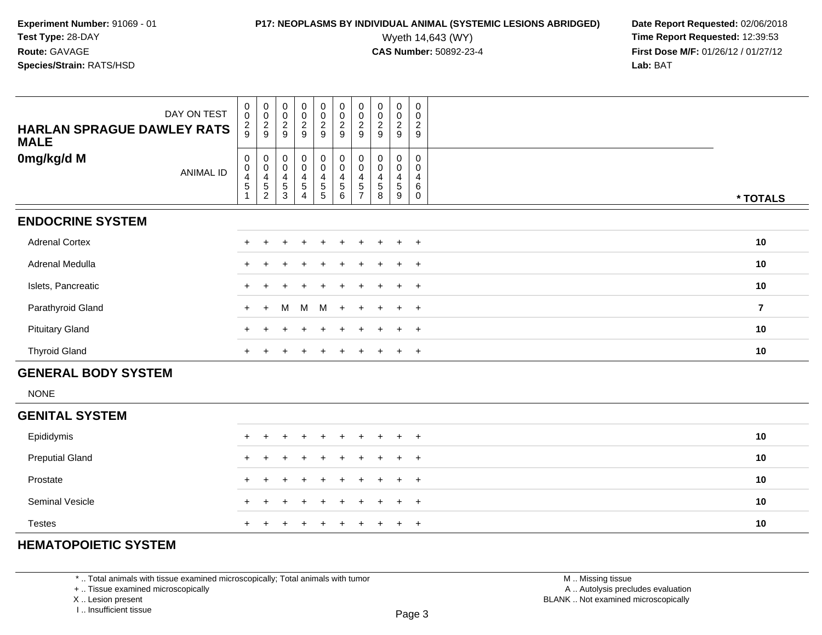## **P17: NEOPLASMS BY INDIVIDUAL ANIMAL (SYSTEMIC LESIONS ABRIDGED)** Date Report Requested: 02/06/2018<br>Wyeth 14,643 (WY) **Time Report Requested: 12:39:53**

Wyeth 14,643 (WY) **Time Report Requested:** 12:39:53<br>**CAS Number:** 50892-23-4 **Time Report Requested:** 12:39:53 **First Dose M/F:** 01/26/12 / 01/27/12<br>**Lab:** BAT **Lab:** BAT

| DAY ON TEST<br><b>HARLAN SPRAGUE DAWLEY RATS</b><br><b>MALE</b> | $\begin{matrix} 0 \\ 0 \end{matrix}$<br>$\frac{2}{9}$ | $\begin{matrix} 0 \\ 0 \end{matrix}$<br>$\frac{2}{9}$                                          | $\begin{matrix} 0 \\ 0 \end{matrix}$<br>$\frac{2}{9}$                    | $\begin{array}{c} 0 \\ 0 \\ 2 \\ 9 \end{array}$                   | $\begin{matrix} 0 \\ 0 \end{matrix}$<br>$\frac{2}{9}$                                     | $\begin{matrix} 0 \\ 0 \\ 2 \end{matrix}$<br>$\overline{9}$                          | $\begin{matrix} 0 \\ 0 \end{matrix}$<br>$\sqrt{2}$<br>9 | 0<br>$\pmb{0}$<br>$\overline{c}$<br>9     | 0<br>$\mathsf{O}\xspace$<br>$\overline{2}$<br>$\boldsymbol{9}$ | $\begin{matrix} 0 \\ 0 \end{matrix}$<br>$\overline{2}$<br>$\mathsf g$ |                |
|-----------------------------------------------------------------|-------------------------------------------------------|------------------------------------------------------------------------------------------------|--------------------------------------------------------------------------|-------------------------------------------------------------------|-------------------------------------------------------------------------------------------|--------------------------------------------------------------------------------------|---------------------------------------------------------|-------------------------------------------|----------------------------------------------------------------|-----------------------------------------------------------------------|----------------|
| 0mg/kg/d M<br><b>ANIMAL ID</b>                                  | $\mathbf 0$<br>$\pmb{0}$<br>4<br>$\overline{5}$       | $\mathbf 0$<br>$\ddot{\mathbf{0}}$<br>$\overline{\mathbf{r}}$<br>$\mathbf 5$<br>$\overline{c}$ | $\mathsf{O}\xspace$<br>$\mathbf 0$<br>$\overline{4}$<br>$\,$ 5 $\,$<br>3 | $_0^0$<br>$\overline{\mathbf{4}}$<br>$\sqrt{5}$<br>$\overline{4}$ | $\begin{smallmatrix}0\0\0\end{smallmatrix}$<br>$\begin{array}{c} 4 \\ 5 \\ 5 \end{array}$ | $\pmb{0}$<br>$\ddot{\mathbf{0}}$<br>$\overline{4}$<br>$\,$ 5 $\,$<br>$6\phantom{1}6$ | $\mathbf 0$<br>$\mathbf 0$<br>4<br>5<br>$\overline{7}$  | $\mathbf 0$<br>$\mathbf 0$<br>4<br>5<br>8 | 0<br>0<br>4<br>$5\,$<br>9                                      | $\mathbf 0$<br>$\Omega$<br>4<br>6<br>$\mathbf 0$                      | * TOTALS       |
| <b>ENDOCRINE SYSTEM</b>                                         |                                                       |                                                                                                |                                                                          |                                                                   |                                                                                           |                                                                                      |                                                         |                                           |                                                                |                                                                       |                |
| <b>Adrenal Cortex</b>                                           |                                                       |                                                                                                |                                                                          |                                                                   |                                                                                           |                                                                                      |                                                         |                                           |                                                                | $\overline{+}$                                                        | 10             |
| Adrenal Medulla                                                 |                                                       |                                                                                                |                                                                          |                                                                   |                                                                                           |                                                                                      |                                                         |                                           |                                                                | $\overline{+}$                                                        | 10             |
| Islets, Pancreatic                                              |                                                       |                                                                                                |                                                                          |                                                                   |                                                                                           |                                                                                      |                                                         |                                           |                                                                | $+$                                                                   | 10             |
| Parathyroid Gland                                               | $\ddot{}$                                             | $\ddot{}$                                                                                      | м                                                                        | M                                                                 | M                                                                                         |                                                                                      |                                                         |                                           | $\ddot{}$                                                      | $+$                                                                   | $\overline{7}$ |
| <b>Pituitary Gland</b>                                          |                                                       |                                                                                                |                                                                          |                                                                   |                                                                                           |                                                                                      |                                                         |                                           |                                                                | $+$                                                                   | 10             |
| <b>Thyroid Gland</b>                                            | $\pm$                                                 |                                                                                                |                                                                          |                                                                   |                                                                                           |                                                                                      |                                                         |                                           | $\ddot{}$                                                      | $+$                                                                   | 10             |
| <b>GENERAL BODY SYSTEM</b>                                      |                                                       |                                                                                                |                                                                          |                                                                   |                                                                                           |                                                                                      |                                                         |                                           |                                                                |                                                                       |                |
| <b>NONE</b>                                                     |                                                       |                                                                                                |                                                                          |                                                                   |                                                                                           |                                                                                      |                                                         |                                           |                                                                |                                                                       |                |
| <b>GENITAL SYSTEM</b>                                           |                                                       |                                                                                                |                                                                          |                                                                   |                                                                                           |                                                                                      |                                                         |                                           |                                                                |                                                                       |                |
| Epididymis                                                      |                                                       |                                                                                                |                                                                          |                                                                   |                                                                                           |                                                                                      |                                                         |                                           |                                                                | $\ddot{}$                                                             | 10             |
| <b>Preputial Gland</b>                                          |                                                       |                                                                                                |                                                                          |                                                                   |                                                                                           |                                                                                      |                                                         |                                           |                                                                | $\ddot{}$                                                             | 10             |
| Prostate                                                        |                                                       |                                                                                                |                                                                          |                                                                   |                                                                                           |                                                                                      |                                                         |                                           |                                                                | $\ddot{}$                                                             | 10             |
| Seminal Vesicle                                                 |                                                       |                                                                                                |                                                                          |                                                                   |                                                                                           |                                                                                      |                                                         |                                           |                                                                | $\overline{+}$                                                        | 10             |

### **HEMATOPOIETIC SYSTEM**

Testes

\* .. Total animals with tissue examined microscopically; Total animals with tumor

+ .. Tissue examined microscopically

<sup>+</sup>

X .. Lesion present

I .. Insufficient tissue

 M .. Missing tissuey the contract of the contract of the contract of the contract of the contract of  $\mathsf A$  . Autolysis precludes evaluation Lesion present BLANK .. Not examined microscopically

<sup>+</sup> <sup>+</sup> <sup>+</sup> <sup>+</sup> <sup>+</sup> <sup>+</sup> <sup>+</sup> <sup>+</sup> <sup>+</sup> **<sup>10</sup>**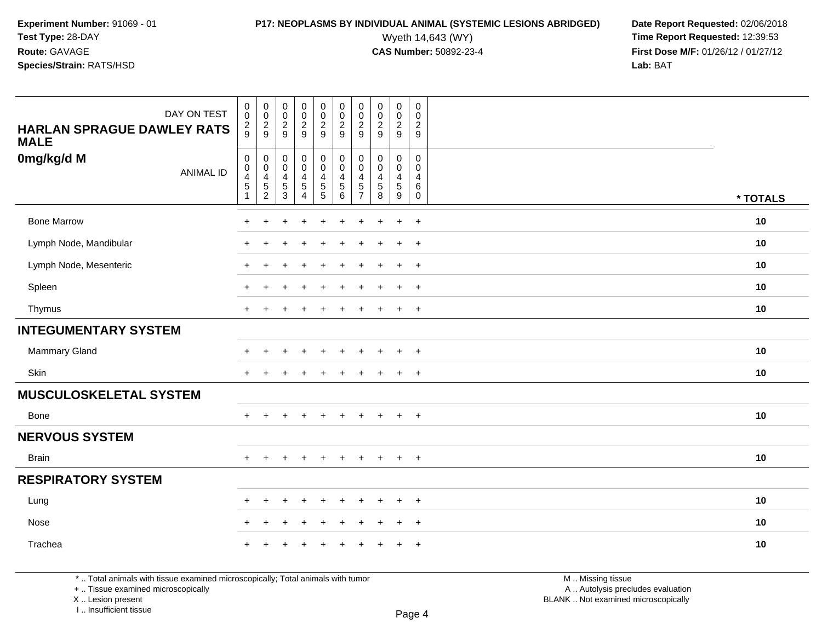**Experiment Number:** 91069 - 01**Test Type:** 28-DAY**Route:** GAVAGE

### **Species/Strain:** RATS/HSD

Wyeth 14,643 (WY) **Time Report Requested:** 12:39:53<br>**CAS Number:** 50892-23-4 **Time Report Requested:** 12:39:53 **First Dose M/F:** 01/26/12 / 01/27/12<br>**Lab:** BAT **Lab:** BAT

| DAY ON TEST<br><b>HARLAN SPRAGUE DAWLEY RATS</b><br><b>MALE</b> | $\pmb{0}$<br>$\mathbf 0$<br>$\frac{2}{9}$                                            | $\boldsymbol{0}$<br>$\mathbf 0$<br>$\frac{2}{9}$          | $\begin{array}{c} 0 \\ 0 \\ 2 \\ 9 \end{array}$                                     | $\pmb{0}$<br>$\pmb{0}$<br>$\frac{2}{9}$                                  | $\pmb{0}$<br>$\begin{smallmatrix} 0\\2 \end{smallmatrix}$<br>9                    | $\pmb{0}$<br>$\mathbf 0$<br>$\overline{c}$<br>9 | $\pmb{0}$<br>$\pmb{0}$<br>$\overline{2}$<br>9                              | $\mathbf 0$<br>$\mathbf 0$<br>$\overline{2}$<br>9               | $\pmb{0}$<br>$\mathbf 0$<br>$\frac{2}{9}$       | $\mathbf 0$<br>$\mathbf 0$<br>$\boldsymbol{2}$<br>9                    |          |
|-----------------------------------------------------------------|--------------------------------------------------------------------------------------|-----------------------------------------------------------|-------------------------------------------------------------------------------------|--------------------------------------------------------------------------|-----------------------------------------------------------------------------------|-------------------------------------------------|----------------------------------------------------------------------------|-----------------------------------------------------------------|-------------------------------------------------|------------------------------------------------------------------------|----------|
| 0mg/kg/d M<br><b>ANIMAL ID</b>                                  | $\mathsf{O}$<br>$\pmb{0}$<br>$\overline{\mathcal{A}}$<br>$\mathbf 5$<br>$\mathbf{1}$ | $\pmb{0}$<br>$\pmb{0}$<br>$\overline{4}$<br>$\frac{5}{2}$ | $\mathbf 0$<br>$\mathsf{O}\xspace$<br>$\overline{4}$<br>$\,$ 5 $\,$<br>$\mathbf{3}$ | $\pmb{0}$<br>$\pmb{0}$<br>$\overline{4}$<br>$\sqrt{5}$<br>$\overline{4}$ | $\mathbf 0$<br>$\mathbf 0$<br>$\overline{\mathbf{4}}$<br>$\sqrt{5}$<br>$\sqrt{5}$ | 0<br>$\mathbf 0$<br>4<br>5<br>6                 | $\mathbf 0$<br>$\pmb{0}$<br>$\overline{4}$<br>$\sqrt{5}$<br>$\overline{7}$ | $\mathbf 0$<br>$\mathbf 0$<br>$\overline{4}$<br>$\sqrt{5}$<br>8 | 0<br>0<br>$\overline{4}$<br>$\sqrt{5}$<br>$9\,$ | $\mathbf 0$<br>$\mathbf 0$<br>$\overline{4}$<br>$\,6\,$<br>$\mathbf 0$ | * TOTALS |
| <b>Bone Marrow</b>                                              | $\ddot{}$                                                                            | +                                                         | $\ddot{}$                                                                           | $\ddot{}$                                                                | $\ddot{}$                                                                         | $\ddot{}$                                       | $\ddot{}$                                                                  | $\ddot{}$                                                       | $\ddot{}$                                       | $+$                                                                    | 10       |
| Lymph Node, Mandibular                                          | $\ddot{}$                                                                            | $\ddot{}$                                                 |                                                                                     |                                                                          |                                                                                   | ÷                                               |                                                                            | $\div$                                                          | $\ddot{}$                                       | $+$                                                                    | 10       |
| Lymph Node, Mesenteric                                          | $\ddot{}$                                                                            | $\pm$                                                     |                                                                                     |                                                                          |                                                                                   |                                                 |                                                                            | $\div$                                                          | $\ddot{}$                                       | $+$                                                                    | 10       |
| Spleen                                                          | <b>+</b>                                                                             |                                                           |                                                                                     |                                                                          |                                                                                   |                                                 |                                                                            | +                                                               | $\pm$                                           | $+$                                                                    | 10       |
| Thymus                                                          | $+$                                                                                  | $\pm$                                                     | $\div$                                                                              | $\div$                                                                   | $\div$                                                                            | ÷                                               |                                                                            | $\overline{+}$                                                  | $+$                                             | $+$                                                                    | 10       |
| <b>INTEGUMENTARY SYSTEM</b>                                     |                                                                                      |                                                           |                                                                                     |                                                                          |                                                                                   |                                                 |                                                                            |                                                                 |                                                 |                                                                        |          |
| Mammary Gland                                                   | $\ddot{}$                                                                            | $\div$                                                    |                                                                                     |                                                                          |                                                                                   |                                                 |                                                                            | $\ddot{}$                                                       | $\ddot{}$                                       | $+$                                                                    | 10       |
| Skin                                                            | $\ddot{}$                                                                            |                                                           |                                                                                     |                                                                          |                                                                                   |                                                 |                                                                            |                                                                 | $\ddot{}$                                       | $+$                                                                    | 10       |
| <b>MUSCULOSKELETAL SYSTEM</b>                                   |                                                                                      |                                                           |                                                                                     |                                                                          |                                                                                   |                                                 |                                                                            |                                                                 |                                                 |                                                                        |          |
| Bone                                                            | $+$                                                                                  | $+$                                                       | $\div$                                                                              | $\ddot{}$                                                                | $\ddot{}$                                                                         | $\ddot{}$                                       | $\ddot{}$                                                                  | $+$                                                             | $+$                                             | $+$                                                                    | 10       |
| <b>NERVOUS SYSTEM</b>                                           |                                                                                      |                                                           |                                                                                     |                                                                          |                                                                                   |                                                 |                                                                            |                                                                 |                                                 |                                                                        |          |
| <b>Brain</b>                                                    | $\ddot{}$                                                                            | $\ddot{}$                                                 | $\ddot{}$                                                                           |                                                                          |                                                                                   |                                                 |                                                                            | $\pm$                                                           | $+$                                             | $+$                                                                    | 10       |
| <b>RESPIRATORY SYSTEM</b>                                       |                                                                                      |                                                           |                                                                                     |                                                                          |                                                                                   |                                                 |                                                                            |                                                                 |                                                 |                                                                        |          |
| Lung                                                            | $\pm$                                                                                | $\pm$                                                     | $\pm$                                                                               | $\ddot{}$                                                                | $\div$                                                                            | $\ddot{}$                                       |                                                                            | $\overline{ }$                                                  | $+$                                             | $^{+}$                                                                 | 10       |
| Nose                                                            | $\ddot{}$                                                                            | $\ddot{}$                                                 | $\overline{1}$                                                                      |                                                                          |                                                                                   |                                                 |                                                                            |                                                                 | $\ddot{}$                                       | $+$                                                                    | 10       |
| Trachea                                                         |                                                                                      |                                                           |                                                                                     |                                                                          |                                                                                   |                                                 |                                                                            |                                                                 | $\pm$                                           | $+$                                                                    | 10       |

\* .. Total animals with tissue examined microscopically; Total animals with tumor

+ .. Tissue examined microscopically

X .. Lesion present

I .. Insufficient tissue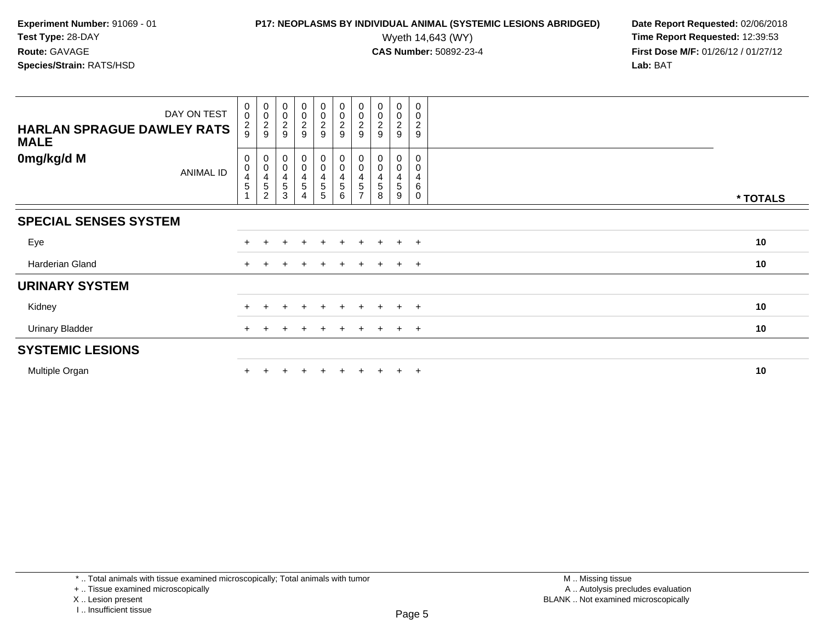# **P17: NEOPLASMS BY INDIVIDUAL ANIMAL (SYSTEMIC LESIONS ABRIDGED)** Date Report Requested: 02/06/2018<br>Wyeth 14,643 (WY) **Time Report Requested:** 12:39:53

| DAY ON TEST<br><b>HARLAN SPRAGUE DAWLEY RATS</b><br><b>MALE</b> | $\begin{smallmatrix}0\\0\end{smallmatrix}$<br>$\frac{2}{9}$ | $_{\rm 0}^{\rm 0}$<br>$\frac{2}{9}$                         | $\begin{smallmatrix}0\\0\end{smallmatrix}$<br>$\frac{2}{9}$ | $\begin{array}{c} 0 \\ 0 \\ 2 \\ 9 \end{array}$ | 00029                        | 00029                                    | $\begin{smallmatrix} 0\\0 \end{smallmatrix}$<br>$\frac{2}{9}$ | $\begin{smallmatrix} 0\\0\\2 \end{smallmatrix}$<br>9 | $_0^0$<br>$\frac{2}{9}$                    | 0<br>0<br>$\boldsymbol{2}$<br>$\boldsymbol{9}$ |          |
|-----------------------------------------------------------------|-------------------------------------------------------------|-------------------------------------------------------------|-------------------------------------------------------------|-------------------------------------------------|------------------------------|------------------------------------------|---------------------------------------------------------------|------------------------------------------------------|--------------------------------------------|------------------------------------------------|----------|
| 0mg/kg/d M<br>ANIMAL ID                                         | 0<br>$\pmb{0}$<br>4<br>5                                    | $_{\rm 0}^{\rm 0}$<br>$\overline{4}$<br>5<br>$\overline{c}$ | 0<br>$\mathbf 0$<br>4<br>5<br>3                             | $_0^0$<br>$\frac{4}{5}$                         | 0<br>0<br>$\frac{4}{5}$<br>5 | $_{\rm 0}^{\rm 0}$<br>$\frac{4}{5}$<br>6 | 0<br>$\pmb{0}$<br>4<br>5                                      | 0<br>$\pmb{0}$<br>4<br>5<br>8                        | 0<br>$\pmb{0}$<br>4<br>$\overline{5}$<br>9 | 0<br>0<br>4<br>6<br>0                          | * TOTALS |
| <b>SPECIAL SENSES SYSTEM</b>                                    |                                                             |                                                             |                                                             |                                                 |                              |                                          |                                                               |                                                      |                                            |                                                |          |
| Eye                                                             |                                                             |                                                             |                                                             | $\ddot{}$                                       | $+$                          | $+$                                      | $+$                                                           | $+$                                                  | $+$ $+$                                    |                                                | 10       |
| Harderian Gland                                                 | $+$                                                         | ÷                                                           |                                                             | $\pm$                                           | $\pm$                        | $+$                                      | $\pm$                                                         | $+$                                                  | $+$ $+$                                    |                                                | 10       |
| <b>URINARY SYSTEM</b>                                           |                                                             |                                                             |                                                             |                                                 |                              |                                          |                                                               |                                                      |                                            |                                                |          |
| Kidney                                                          |                                                             |                                                             |                                                             | $\div$                                          | $\pm$                        | $\div$                                   |                                                               |                                                      | $\pm$                                      | $+$                                            | 10       |
| <b>Urinary Bladder</b>                                          |                                                             |                                                             |                                                             | $\cdot$                                         | +                            |                                          | $\ddot{}$                                                     |                                                      | $+$                                        | $+$                                            | 10       |
| <b>SYSTEMIC LESIONS</b>                                         |                                                             |                                                             |                                                             |                                                 |                              |                                          |                                                               |                                                      |                                            |                                                |          |
| Multiple Organ                                                  |                                                             |                                                             |                                                             | $\div$                                          | $+$                          | $+$                                      |                                                               |                                                      | $+$                                        | $+$                                            | 10       |

<sup>+ ..</sup> Tissue examined microscopically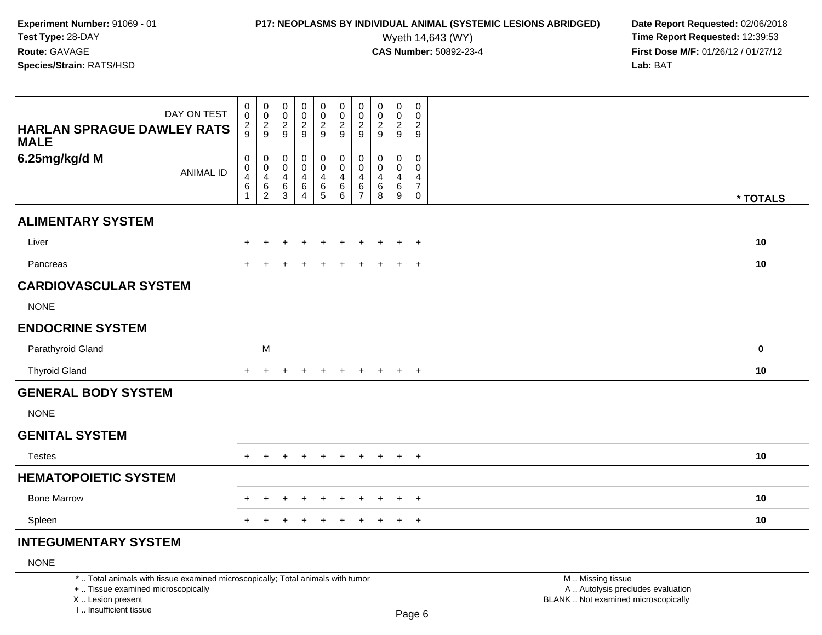## **P17: NEOPLASMS BY INDIVIDUAL ANIMAL (SYSTEMIC LESIONS ABRIDGED)** Date Report Requested: 02/06/2018<br>Wyeth 14,643 (WY) **Time Report Requested: 12:39:53**

Wyeth 14,643 (WY) **Time Report Requested:** 12:39:53<br>**CAS Number:** 50892-23-4 **Time Report Requested:** 12:39:53 **First Dose M/F:** 01/26/12 / 01/27/12<br>**Lab:** BAT **Lab:** BAT

| DAY ON TEST<br><b>HARLAN SPRAGUE DAWLEY RATS</b><br><b>MALE</b> | $_{\rm 0}^{\rm 0}$<br>$\frac{2}{9}$                                    | $_{\rm 0}^{\rm 0}$<br>$\frac{2}{9}$                                | $\begin{smallmatrix} 0\\0 \end{smallmatrix}$<br>$\frac{2}{9}$ | $\pmb{0}$<br>$\pmb{0}$<br>$\frac{2}{9}$                             | 0<br>$\frac{0}{2}$            | $\begin{array}{c} 0 \\ 0 \\ 2 \\ 9 \end{array}$         | $\pmb{0}$<br>$\pmb{0}$<br>$\overline{c}$<br>9      | $\pmb{0}$<br>$\pmb{0}$<br>$\frac{2}{9}$  | $\begin{array}{c} 0 \\ 0 \\ 2 \\ 9 \end{array}$                                      | $\boldsymbol{0}$<br>$\mathbf 0$<br>$\frac{2}{9}$          |             |
|-----------------------------------------------------------------|------------------------------------------------------------------------|--------------------------------------------------------------------|---------------------------------------------------------------|---------------------------------------------------------------------|-------------------------------|---------------------------------------------------------|----------------------------------------------------|------------------------------------------|--------------------------------------------------------------------------------------|-----------------------------------------------------------|-------------|
| 6.25mg/kg/d M<br><b>ANIMAL ID</b>                               | $\begin{smallmatrix}0\0\0\4\end{smallmatrix}$<br>$\,6$<br>$\mathbf{1}$ | $\pmb{0}$<br>$\pmb{0}$<br>$\overline{\mathbf{4}}$<br>$\frac{6}{2}$ | $\pmb{0}$<br>0<br>$\overline{4}$<br>$^6_3$                    | $\pmb{0}$<br>$\mathbf 0$<br>$\overline{\mathbf{4}}$<br>$\,6\,$<br>4 | 0<br>$\pmb{0}$<br>4<br>$^6$ 5 | $_{\rm 0}^{\rm 0}$<br>$\overline{\mathbf{4}}$<br>6<br>6 | 0<br>$\mathbf 0$<br>4<br>$\,6\,$<br>$\overline{7}$ | 0<br>0<br>$\overline{4}$<br>$\,6\,$<br>8 | $\mathbf 0$<br>$\mathbf 0$<br>$\overline{\mathbf{4}}$<br>$\,6\,$<br>$\boldsymbol{9}$ | 0<br>0<br>$\overline{4}$<br>$\overline{7}$<br>$\mathbf 0$ | * TOTALS    |
| <b>ALIMENTARY SYSTEM</b>                                        |                                                                        |                                                                    |                                                               |                                                                     |                               |                                                         |                                                    |                                          |                                                                                      |                                                           |             |
| Liver                                                           | $+$                                                                    | $\ddot{}$                                                          | $\pm$                                                         | $\pm$                                                               | $\overline{+}$                | $\ddot{}$                                               | $\ddot{}$                                          | $\ddot{}$                                | $\ddot{}$                                                                            | $+$                                                       | 10          |
| Pancreas                                                        |                                                                        |                                                                    |                                                               |                                                                     |                               |                                                         | $\div$                                             | $\pm$                                    | $\overline{ }$                                                                       | $+$                                                       | 10          |
| <b>CARDIOVASCULAR SYSTEM</b>                                    |                                                                        |                                                                    |                                                               |                                                                     |                               |                                                         |                                                    |                                          |                                                                                      |                                                           |             |
| <b>NONE</b>                                                     |                                                                        |                                                                    |                                                               |                                                                     |                               |                                                         |                                                    |                                          |                                                                                      |                                                           |             |
| <b>ENDOCRINE SYSTEM</b>                                         |                                                                        |                                                                    |                                                               |                                                                     |                               |                                                         |                                                    |                                          |                                                                                      |                                                           |             |
| Parathyroid Gland                                               |                                                                        | M                                                                  |                                                               |                                                                     |                               |                                                         |                                                    |                                          |                                                                                      |                                                           | $\mathbf 0$ |
| <b>Thyroid Gland</b>                                            | $+$                                                                    | $+$                                                                | +                                                             | $\ddot{}$                                                           | $+$                           | $+$                                                     | $+$                                                | $+$                                      | $+$                                                                                  | $+$                                                       | 10          |
| <b>GENERAL BODY SYSTEM</b>                                      |                                                                        |                                                                    |                                                               |                                                                     |                               |                                                         |                                                    |                                          |                                                                                      |                                                           |             |
| <b>NONE</b>                                                     |                                                                        |                                                                    |                                                               |                                                                     |                               |                                                         |                                                    |                                          |                                                                                      |                                                           |             |
| <b>GENITAL SYSTEM</b>                                           |                                                                        |                                                                    |                                                               |                                                                     |                               |                                                         |                                                    |                                          |                                                                                      |                                                           |             |
| <b>Testes</b>                                                   | $+$                                                                    | $\pm$                                                              |                                                               |                                                                     | $\div$                        | $\pm$                                                   | $\pm$                                              | $\pm$                                    | $\pm$                                                                                | $+$                                                       | 10          |
| <b>HEMATOPOIETIC SYSTEM</b>                                     |                                                                        |                                                                    |                                                               |                                                                     |                               |                                                         |                                                    |                                          |                                                                                      |                                                           |             |
| <b>Bone Marrow</b>                                              | $+$                                                                    | $\pm$                                                              | $\pm$                                                         | $\pm$                                                               | $\overline{+}$                | $+$                                                     | $\ddot{}$                                          | $\ddot{}$                                | $+$                                                                                  | $+$                                                       | 10          |
| Spleen                                                          | $+$                                                                    |                                                                    |                                                               |                                                                     |                               |                                                         |                                                    | $\ddot{}$                                | $\ddot{}$                                                                            | $+$                                                       | 10          |
| <b>INTEGUMENTARY SYSTEM</b>                                     |                                                                        |                                                                    |                                                               |                                                                     |                               |                                                         |                                                    |                                          |                                                                                      |                                                           |             |

### NONE

\* .. Total animals with tissue examined microscopically; Total animals with tumor

+ .. Tissue examined microscopically

X .. Lesion present

I .. Insufficient tissue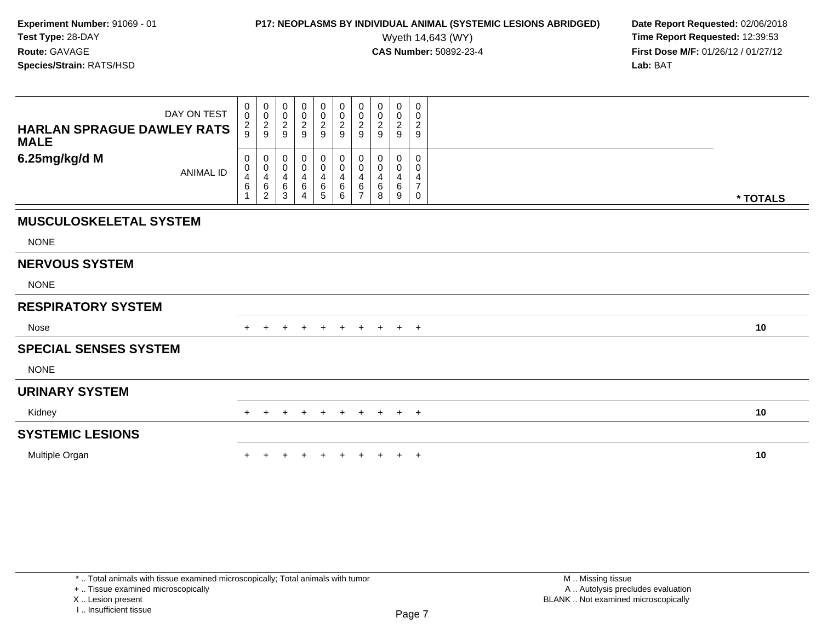## **P17: NEOPLASMS BY INDIVIDUAL ANIMAL (SYSTEMIC LESIONS ABRIDGED)** Date Report Requested: 02/06/2018<br>Wyeth 14,643 (WY) **Time Report Requested: 12:39:53**

Wyeth 14,643 (WY) **Time Report Requested:** 12:39:53<br>**CAS Number:** 50892-23-4 **Time Report Requested:** 12:39:53 **First Dose M/F:** 01/26/12 / 01/27/12<br>**Lab:** BAT **Lab:** BAT

| DAY ON TEST<br><b>HARLAN SPRAGUE DAWLEY RATS</b><br><b>MALE</b> | 0<br>$\mathsf{O}\xspace$<br>$\frac{2}{9}$  | 0<br>$\mathbf 0$<br>$\frac{2}{9}$          | 0<br>$\pmb{0}$<br>$\frac{2}{9}$ | 0<br>$\pmb{0}$<br>$\frac{2}{9}$                           | 0<br>$\mathbf 0$<br>$\frac{2}{9}$                                    | $_{\rm 0}^{\rm 0}$<br>$\sqrt{2}$<br>9                     | 0<br>$\pmb{0}$<br>$\overline{c}$<br>9 | 0<br>$\pmb{0}$<br>$\boldsymbol{2}$<br>9 | 0<br>$\mathbf 0$<br>$\overline{c}$<br>9 | 0<br>0<br>$\overline{c}$<br>9      |          |  |
|-----------------------------------------------------------------|--------------------------------------------|--------------------------------------------|---------------------------------|-----------------------------------------------------------|----------------------------------------------------------------------|-----------------------------------------------------------|---------------------------------------|-----------------------------------------|-----------------------------------------|------------------------------------|----------|--|
| 6.25mg/kg/d M<br><b>ANIMAL ID</b>                               | 0<br>$\pmb{0}$<br>4<br>6<br>$\overline{ }$ | 0<br>$\pmb{0}$<br>4<br>6<br>$\overline{2}$ | 0<br>0<br>4<br>6<br>3           | 0<br>$\pmb{0}$<br>$\overline{\mathbf{r}}$<br>$\,6\,$<br>4 | $\mathbf{0}$<br>$\mathbf 0$<br>$\overline{4}$<br>6<br>$\overline{5}$ | 0<br>$\mathbf 0$<br>$\overline{\mathbf{4}}$<br>$\,6$<br>6 | 0<br>0<br>4<br>6<br>$\overline{ }$    | 0<br>$\mathbf 0$<br>4<br>6<br>8         | 0<br>0<br>4<br>6<br>9                   | 0<br>0<br>4<br>$\overline{7}$<br>0 | * TOTALS |  |
| <b>MUSCULOSKELETAL SYSTEM</b><br><b>NONE</b>                    |                                            |                                            |                                 |                                                           |                                                                      |                                                           |                                       |                                         |                                         |                                    |          |  |
| <b>NERVOUS SYSTEM</b><br><b>NONE</b>                            |                                            |                                            |                                 |                                                           |                                                                      |                                                           |                                       |                                         |                                         |                                    |          |  |
| <b>RESPIRATORY SYSTEM</b>                                       |                                            |                                            |                                 |                                                           |                                                                      |                                                           |                                       |                                         |                                         |                                    |          |  |
| Nose                                                            | $+$                                        |                                            |                                 | $\overline{+}$                                            | $\pm$                                                                | $+$                                                       | $\ddot{}$                             | $+$                                     | $+$ $+$                                 |                                    | 10       |  |
| <b>SPECIAL SENSES SYSTEM</b><br><b>NONE</b>                     |                                            |                                            |                                 |                                                           |                                                                      |                                                           |                                       |                                         |                                         |                                    |          |  |
| <b>URINARY SYSTEM</b>                                           |                                            |                                            |                                 |                                                           |                                                                      |                                                           |                                       |                                         |                                         |                                    |          |  |
| Kidney                                                          | $+$                                        | $\pm$                                      | $\pm$                           | $+$                                                       | $+$                                                                  | $+$                                                       | $+$                                   | $+$                                     | $+$                                     | $+$                                | 10       |  |
| <b>SYSTEMIC LESIONS</b>                                         |                                            |                                            |                                 |                                                           |                                                                      |                                                           |                                       |                                         |                                         |                                    |          |  |
| Multiple Organ                                                  |                                            |                                            |                                 |                                                           |                                                                      |                                                           |                                       |                                         | $+$                                     | $+$                                | 10       |  |

+ .. Tissue examined microscopically

X .. Lesion present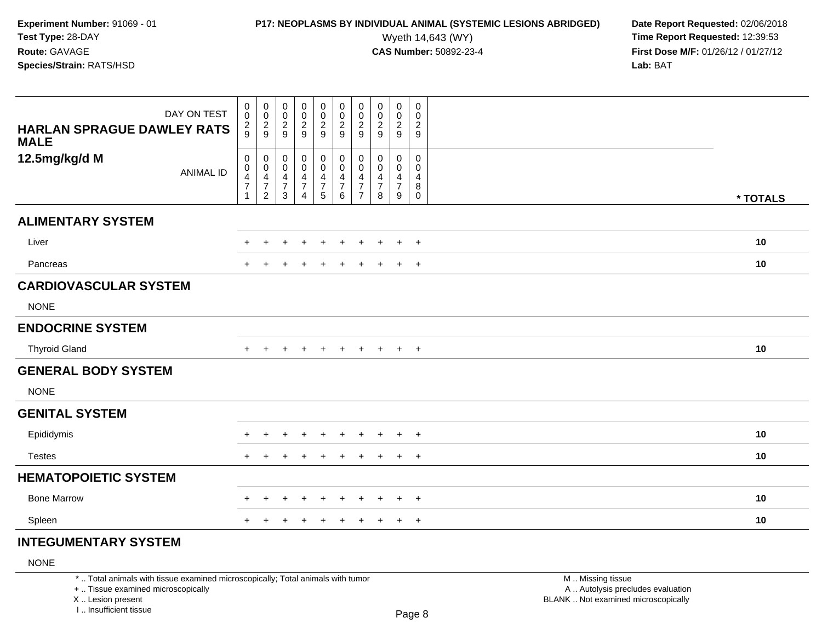## **P17: NEOPLASMS BY INDIVIDUAL ANIMAL (SYSTEMIC LESIONS ABRIDGED)** Date Report Requested: 02/06/2018<br>Wyeth 14,643 (WY) **Time Report Requested: 12:39:53**

Wyeth 14,643 (WY) **Time Report Requested:** 12:39:53<br>**CAS Number:** 50892-23-4 **Time Report Requested:** 12:39:53 **First Dose M/F:** 01/26/12 / 01/27/12<br>**Lab:** BAT **Lab:** BAT

| DAY ON TEST<br><b>HARLAN SPRAGUE DAWLEY RATS</b><br><b>MALE</b> | $\mathbf 0$<br>$\pmb{0}$<br>$\frac{2}{9}$         | 00029                                                 | $\begin{matrix} 0 \\ 0 \\ 2 \\ 9 \end{matrix}$                         | $\begin{array}{c} 0 \\ 0 \\ 2 \\ 9 \end{array}$ | $\mathbf 0$<br>$\pmb{0}$<br>$\frac{2}{9}$                                                           | $\pmb{0}$<br>$\frac{0}{2}$<br>$\boldsymbol{9}$                                  | $\mathbf 0$<br>$\pmb{0}$<br>$\overline{2}$<br>9                        | $\pmb{0}$<br>$\pmb{0}$<br>$\overline{2}$<br>9 | $\pmb{0}$<br>$\pmb{0}$<br>$\frac{2}{9}$                   | $\mathbf 0$<br>$\pmb{0}$<br>$\sqrt{2}$<br>$\boldsymbol{9}$ |          |
|-----------------------------------------------------------------|---------------------------------------------------|-------------------------------------------------------|------------------------------------------------------------------------|-------------------------------------------------|-----------------------------------------------------------------------------------------------------|---------------------------------------------------------------------------------|------------------------------------------------------------------------|-----------------------------------------------|-----------------------------------------------------------|------------------------------------------------------------|----------|
| 12.5mg/kg/d M<br><b>ANIMAL ID</b>                               | $\mathbf 0$<br>$\mathbf 0$<br>4<br>$\overline{7}$ | $_{\rm 0}^{\rm 0}$<br>$\frac{4}{7}$<br>$\overline{2}$ | $\pmb{0}$<br>$\boldsymbol{0}$<br>$\overline{4}$<br>$\overline{7}$<br>3 | $_0^0$<br>$\overline{4}$<br>$\overline{7}$<br>4 | $\begin{smallmatrix} 0\\0 \end{smallmatrix}$<br>$\overline{4}$<br>$\overline{7}$<br>$5\phantom{.0}$ | $\pmb{0}$<br>$\mathbf 0$<br>$\overline{4}$<br>$\overline{7}$<br>$6\phantom{1}6$ | 0<br>$\mathbf 0$<br>$\overline{4}$<br>$\overline{7}$<br>$\overline{7}$ | 0<br>$\mathbf 0$<br>4<br>$\overline{7}$<br>8  | 0<br>$\mathbf 0$<br>$\overline{4}$<br>$\overline{7}$<br>9 | 0<br>$\mathbf 0$<br>4<br>$\bf 8$<br>0                      | * TOTALS |
| <b>ALIMENTARY SYSTEM</b>                                        |                                                   |                                                       |                                                                        |                                                 |                                                                                                     |                                                                                 |                                                                        |                                               |                                                           |                                                            |          |
| Liver                                                           | ÷                                                 |                                                       |                                                                        |                                                 |                                                                                                     |                                                                                 |                                                                        |                                               | $\ddot{}$                                                 | $+$                                                        | 10       |
| Pancreas                                                        |                                                   |                                                       |                                                                        | $\pm$                                           | $\div$                                                                                              | $\pm$                                                                           | ٠                                                                      | ٠                                             | $\ddot{}$                                                 | $+$                                                        | 10       |
| <b>CARDIOVASCULAR SYSTEM</b><br><b>NONE</b>                     |                                                   |                                                       |                                                                        |                                                 |                                                                                                     |                                                                                 |                                                                        |                                               |                                                           |                                                            |          |
| <b>ENDOCRINE SYSTEM</b>                                         |                                                   |                                                       |                                                                        |                                                 |                                                                                                     |                                                                                 |                                                                        |                                               |                                                           |                                                            |          |
| <b>Thyroid Gland</b>                                            | $\pm$                                             |                                                       |                                                                        |                                                 |                                                                                                     |                                                                                 |                                                                        | $\ddot{}$                                     | $+$                                                       | $+$                                                        | 10       |
| <b>GENERAL BODY SYSTEM</b><br><b>NONE</b>                       |                                                   |                                                       |                                                                        |                                                 |                                                                                                     |                                                                                 |                                                                        |                                               |                                                           |                                                            |          |
| <b>GENITAL SYSTEM</b>                                           |                                                   |                                                       |                                                                        |                                                 |                                                                                                     |                                                                                 |                                                                        |                                               |                                                           |                                                            |          |
| Epididymis                                                      |                                                   |                                                       |                                                                        |                                                 |                                                                                                     |                                                                                 |                                                                        |                                               | $\div$                                                    | $^{+}$                                                     | 10       |
| <b>Testes</b>                                                   | $+$                                               |                                                       |                                                                        |                                                 |                                                                                                     | $\div$                                                                          |                                                                        |                                               | $\ddot{}$                                                 | $+$                                                        | 10       |
| <b>HEMATOPOIETIC SYSTEM</b>                                     |                                                   |                                                       |                                                                        |                                                 |                                                                                                     |                                                                                 |                                                                        |                                               |                                                           |                                                            |          |
| <b>Bone Marrow</b>                                              | $\pm$                                             | $\pm$                                                 | +                                                                      | $\div$                                          | $\pm$                                                                                               | $\div$                                                                          | ÷                                                                      | $\pm$                                         | $+$                                                       | $+$                                                        | 10       |
| Spleen                                                          |                                                   |                                                       |                                                                        |                                                 |                                                                                                     |                                                                                 |                                                                        |                                               | $\pm$                                                     | $+$                                                        | 10       |

### **INTEGUMENTARY SYSTEM**

### NONE

\* .. Total animals with tissue examined microscopically; Total animals with tumor

+ .. Tissue examined microscopically

X .. Lesion present

I .. Insufficient tissue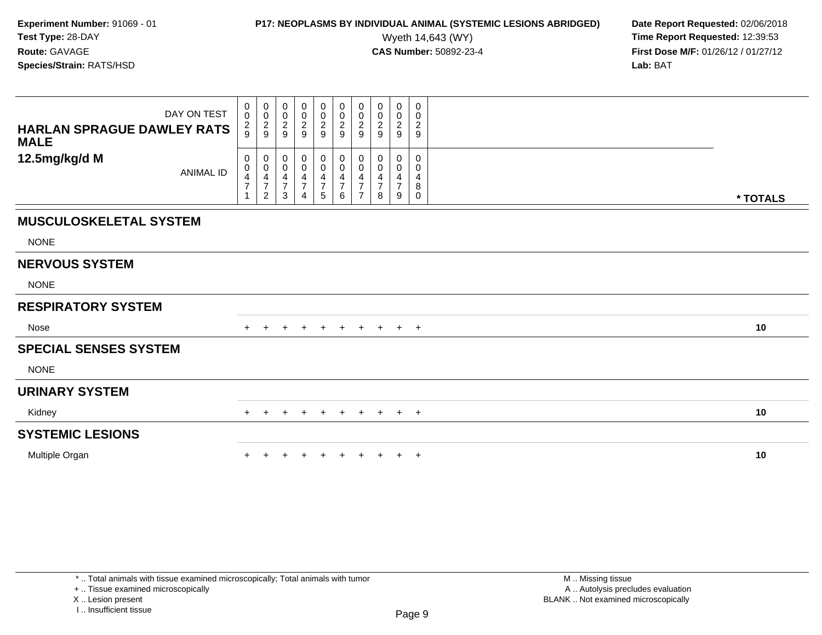# **P17: NEOPLASMS BY INDIVIDUAL ANIMAL (SYSTEMIC LESIONS ABRIDGED)** Date Report Requested: 02/06/2018<br>Wyeth 14,643 (WY) **Time Report Requested:** 12:39:53

Wyeth 14,643 (WY) **Time Report Requested:** 12:39:53<br>**CAS Number:** 50892-23-4 **Time Report Requested:** 12:39:53 **First Dose M/F:** 01/26/12 / 01/27/12<br>**Lab:** BAT **Lab:** BAT

| DAY ON TEST<br><b>HARLAN SPRAGUE DAWLEY RATS</b> | 0<br>$\mathsf 0$<br>$\frac{2}{9}$ | $\begin{matrix} 0 \\ 0 \\ 2 \\ 9 \end{matrix}$              | $_{\rm 0}^{\rm 0}$<br>$\frac{2}{9}$          | $_0^0$<br>$\frac{2}{9}$                                            | $\begin{smallmatrix}0\0\0\end{smallmatrix}$<br>$\frac{2}{9}$       | $\begin{smallmatrix} 0\\0\\2 \end{smallmatrix}$<br>9 | 0<br>0<br>$\overline{c}$<br>9 | $\boldsymbol{0}$<br>$\mathbf 0$<br>$\overline{c}$<br>9 | $\pmb{0}$<br>$\frac{0}{2}$                                          | $\mathbf 0$<br>$\mathbf 0$<br>$\overline{c}$<br>9 |          |
|--------------------------------------------------|-----------------------------------|-------------------------------------------------------------|----------------------------------------------|--------------------------------------------------------------------|--------------------------------------------------------------------|------------------------------------------------------|-------------------------------|--------------------------------------------------------|---------------------------------------------------------------------|---------------------------------------------------|----------|
| <b>MALE</b><br>12.5mg/kg/d M<br><b>ANIMAL ID</b> | 0<br>$\pmb{0}$<br>$\overline{7}$  | $\mathbf 0$<br>$\pmb{0}$<br>$\frac{4}{7}$<br>$\overline{c}$ | $\pmb{0}$<br>$\pmb{0}$<br>$\frac{4}{7}$<br>3 | 0<br>$\mathbf 0$<br>$\overline{\mathbf{4}}$<br>$\overline{7}$<br>4 | 0<br>$\pmb{0}$<br>$\overline{\mathbf{4}}$<br>$\boldsymbol{7}$<br>5 | 0<br>$\pmb{0}$<br>4<br>$\overline{7}$<br>6           | 0<br>0<br>4                   | 0<br>$\mathbf 0$<br>$\overline{ }$<br>8                | 0<br>$\mathbf 0$<br>$\overline{\mathcal{A}}$<br>$\overline{7}$<br>9 | 0<br>0<br>4<br>8<br>0                             | * TOTALS |
| <b>MUSCULOSKELETAL SYSTEM</b><br><b>NONE</b>     |                                   |                                                             |                                              |                                                                    |                                                                    |                                                      |                               |                                                        |                                                                     |                                                   |          |
| <b>NERVOUS SYSTEM</b><br><b>NONE</b>             |                                   |                                                             |                                              |                                                                    |                                                                    |                                                      |                               |                                                        |                                                                     |                                                   |          |
| <b>RESPIRATORY SYSTEM</b>                        |                                   |                                                             |                                              |                                                                    |                                                                    |                                                      |                               |                                                        |                                                                     |                                                   |          |
| Nose                                             | $+$                               |                                                             | $\pm$                                        | $\pm$                                                              | $+$                                                                | $+$                                                  | $+$                           | $+$                                                    | $+$ $+$                                                             |                                                   | 10       |
| <b>SPECIAL SENSES SYSTEM</b><br><b>NONE</b>      |                                   |                                                             |                                              |                                                                    |                                                                    |                                                      |                               |                                                        |                                                                     |                                                   |          |
| <b>URINARY SYSTEM</b>                            |                                   |                                                             |                                              |                                                                    |                                                                    |                                                      |                               |                                                        |                                                                     |                                                   |          |
| Kidney                                           | $+$                               | $\pm$                                                       | $\pm$                                        | $+$                                                                | $+$                                                                | $+$                                                  | $+$                           | $+$                                                    | $+$                                                                 | $+$                                               | 10       |
| <b>SYSTEMIC LESIONS</b>                          |                                   |                                                             |                                              |                                                                    |                                                                    |                                                      |                               |                                                        |                                                                     |                                                   |          |
| Multiple Organ                                   |                                   |                                                             |                                              |                                                                    |                                                                    |                                                      |                               |                                                        | $\ddot{}$                                                           | $^{+}$                                            | 10       |

\* .. Total animals with tissue examined microscopically; Total animals with tumor

+ .. Tissue examined microscopically

X .. Lesion present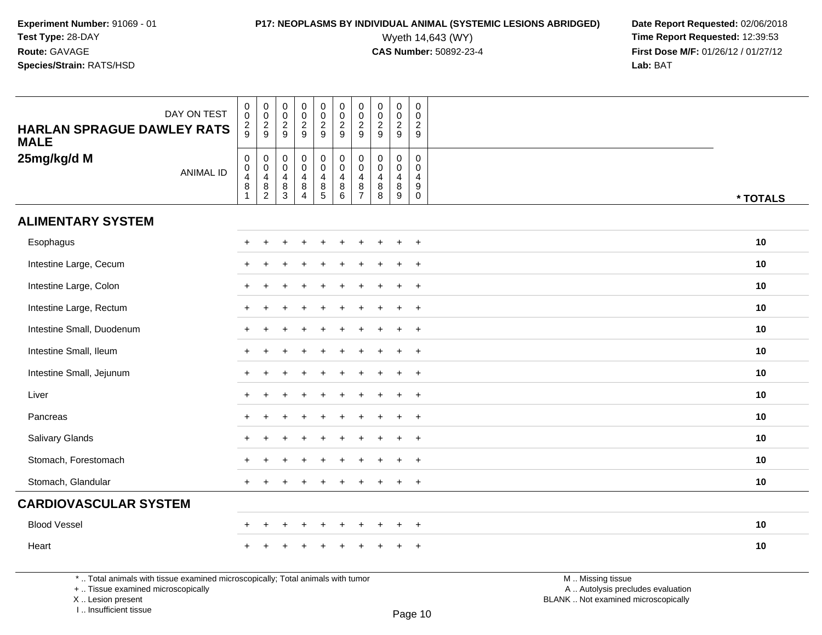# **P17: NEOPLASMS BY INDIVIDUAL ANIMAL (SYSTEMIC LESIONS ABRIDGED)** Date Report Requested: 02/06/2018<br>Wyeth 14,643 (WY) **Time Report Requested:** 12:39:53

Wyeth 14,643 (WY) **Time Report Requested:** 12:39:53<br>**CAS Number:** 50892-23-4 **Time Report Requested:** 12:39:53 **First Dose M/F:** 01/26/12 / 01/27/12<br>**Lab:** BAT **Lab:** BAT

| DAY ON TEST<br><b>HARLAN SPRAGUE DAWLEY RATS</b><br><b>MALE</b> | $\begin{smallmatrix} 0\\0 \end{smallmatrix}$<br>$\frac{2}{9}$         | $\pmb{0}$<br>$\mathbf 0$<br>$\frac{2}{9}$                                 | $\pmb{0}$<br>$\pmb{0}$<br>$\boldsymbol{2}$<br>9                    | $\pmb{0}$<br>$\pmb{0}$<br>$\frac{2}{9}$                           | $\mathbf 0$<br>$\mathsf{O}\xspace$<br>$\frac{2}{9}$                                       | $\pmb{0}$<br>$\pmb{0}$<br>$\overline{c}$<br>9                                   | $\pmb{0}$<br>$\pmb{0}$<br>$\overline{2}$<br>9                                   | $\mathsf{O}\xspace$<br>$\mathbf 0$<br>$\overline{2}$<br>9                | $\pmb{0}$<br>$\mathsf{O}\xspace$<br>$\overline{c}$<br>9      | $\pmb{0}$<br>$\mathbf 0$<br>$\overline{c}$<br>9                               |          |
|-----------------------------------------------------------------|-----------------------------------------------------------------------|---------------------------------------------------------------------------|--------------------------------------------------------------------|-------------------------------------------------------------------|-------------------------------------------------------------------------------------------|---------------------------------------------------------------------------------|---------------------------------------------------------------------------------|--------------------------------------------------------------------------|--------------------------------------------------------------|-------------------------------------------------------------------------------|----------|
| 25mg/kg/d M<br><b>ANIMAL ID</b>                                 | $\mathsf 0$<br>$\ddot{\mathbf{0}}$<br>$\frac{4}{8}$<br>$\overline{1}$ | $\mathbf 0$<br>$\mathbf 0$<br>$\overline{4}$<br>$\,8\,$<br>$\overline{2}$ | $\pmb{0}$<br>$\ddot{\mathbf{0}}$<br>4<br>$\bf 8$<br>$\overline{3}$ | $\mathbf 0$<br>$\bar{0}$<br>$\overline{4}$<br>8<br>$\overline{4}$ | $\begin{smallmatrix}0\0\0\end{smallmatrix}$<br>$\begin{array}{c} 4 \\ 8 \\ 5 \end{array}$ | $\pmb{0}$<br>$\ddot{\mathbf{0}}$<br>$\overline{4}$<br>$\bf 8$<br>$\overline{6}$ | $\pmb{0}$<br>$\ddot{\mathbf{0}}$<br>$\overline{4}$<br>$\bf 8$<br>$\overline{7}$ | $\mathbf 0$<br>$\mathbf 0$<br>$\overline{4}$<br>$\bf8$<br>$\overline{8}$ | $\mathbf 0$<br>$\mathbf 0$<br>$\overline{4}$<br>$\bf 8$<br>9 | $\mathsf 0$<br>$\mathbf 0$<br>$\overline{4}$<br>$\mathsf g$<br>$\overline{0}$ | * TOTALS |
| <b>ALIMENTARY SYSTEM</b>                                        |                                                                       |                                                                           |                                                                    |                                                                   |                                                                                           |                                                                                 |                                                                                 |                                                                          |                                                              |                                                                               |          |
| Esophagus                                                       |                                                                       |                                                                           |                                                                    |                                                                   |                                                                                           |                                                                                 |                                                                                 |                                                                          | ÷                                                            | $\overline{+}$                                                                | 10       |
| Intestine Large, Cecum                                          |                                                                       |                                                                           |                                                                    |                                                                   |                                                                                           |                                                                                 |                                                                                 |                                                                          | $\ddot{}$                                                    | $\overline{+}$                                                                | 10       |
| Intestine Large, Colon                                          |                                                                       |                                                                           |                                                                    |                                                                   |                                                                                           |                                                                                 |                                                                                 |                                                                          | $\ddot{}$                                                    | $\overline{+}$                                                                | 10       |
| Intestine Large, Rectum                                         | $\pm$                                                                 | $\ddot{}$                                                                 |                                                                    |                                                                   |                                                                                           |                                                                                 |                                                                                 |                                                                          | $\ddot{}$                                                    | $\overline{+}$                                                                | 10       |
| Intestine Small, Duodenum                                       |                                                                       | +                                                                         |                                                                    |                                                                   |                                                                                           |                                                                                 |                                                                                 |                                                                          | $\ddot{}$                                                    | $\overline{+}$                                                                | 10       |
| Intestine Small, Ileum                                          |                                                                       | $\div$                                                                    |                                                                    |                                                                   |                                                                                           |                                                                                 |                                                                                 |                                                                          | $\ddot{}$                                                    | $\overline{+}$                                                                | 10       |
| Intestine Small, Jejunum                                        |                                                                       |                                                                           |                                                                    |                                                                   |                                                                                           |                                                                                 |                                                                                 |                                                                          | $\ddot{}$                                                    | $\overline{+}$                                                                | 10       |
| Liver                                                           |                                                                       |                                                                           |                                                                    |                                                                   |                                                                                           |                                                                                 |                                                                                 |                                                                          | $\ddot{}$                                                    | $\overline{+}$                                                                | 10       |
| Pancreas                                                        |                                                                       |                                                                           |                                                                    |                                                                   |                                                                                           |                                                                                 |                                                                                 |                                                                          | $\ddot{}$                                                    | $\overline{+}$                                                                | 10       |
| Salivary Glands                                                 |                                                                       |                                                                           |                                                                    |                                                                   |                                                                                           |                                                                                 |                                                                                 |                                                                          | ÷                                                            | $\overline{+}$                                                                | 10       |
| Stomach, Forestomach                                            |                                                                       |                                                                           |                                                                    |                                                                   |                                                                                           |                                                                                 |                                                                                 |                                                                          | $\ddot{}$                                                    | $+$                                                                           | 10       |
| Stomach, Glandular                                              | $+$                                                                   |                                                                           |                                                                    |                                                                   |                                                                                           |                                                                                 |                                                                                 |                                                                          | $\ddot{}$                                                    | $+$                                                                           | 10       |
| <b>CARDIOVASCULAR SYSTEM</b>                                    |                                                                       |                                                                           |                                                                    |                                                                   |                                                                                           |                                                                                 |                                                                                 |                                                                          |                                                              |                                                                               |          |
| <b>Blood Vessel</b>                                             | $\pm$                                                                 | $\ddot{}$                                                                 |                                                                    | $\ddot{}$                                                         | $\ddot{}$                                                                                 | $\ddot{}$                                                                       | ÷.                                                                              | $\div$                                                                   | $\ddot{}$                                                    | $^{+}$                                                                        | 10       |
| Heart                                                           |                                                                       |                                                                           |                                                                    |                                                                   |                                                                                           |                                                                                 |                                                                                 |                                                                          |                                                              |                                                                               | 10       |

\* .. Total animals with tissue examined microscopically; Total animals with tumor

+ .. Tissue examined microscopically

 Lesion present BLANK .. Not examined microscopicallyX .. Lesion present

I .. Insufficient tissue

M .. Missing tissue y the contract of the contract of the contract of the contract of the contract of  $\mathsf A$  . Autolysis precludes evaluation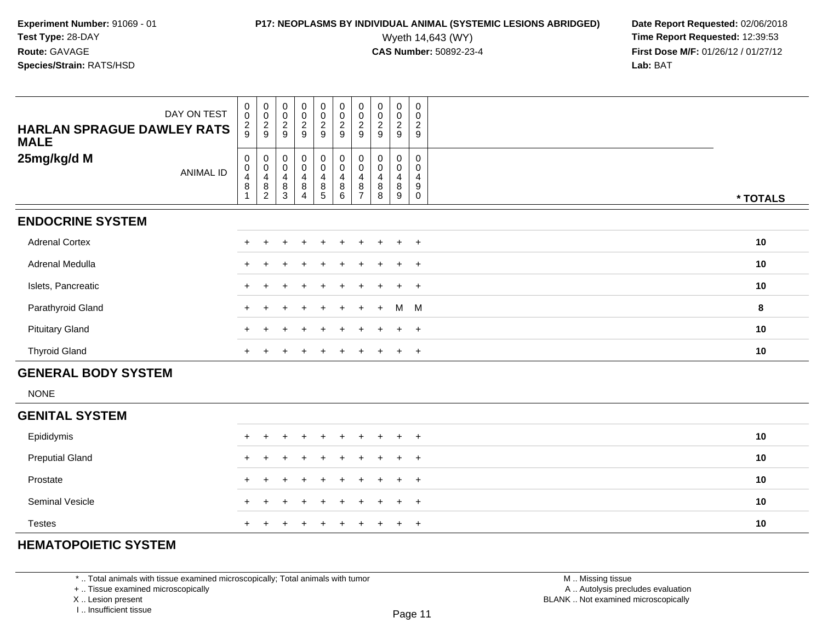## **P17: NEOPLASMS BY INDIVIDUAL ANIMAL (SYSTEMIC LESIONS ABRIDGED)** Date Report Requested: 02/06/2018<br>Wyeth 14,643 (WY) **Time Report Requested: 12:39:53**

Wyeth 14,643 (WY) **Time Report Requested:** 12:39:53<br>**CAS Number:** 50892-23-4 **Time Report Requested:** 12:39:53 **First Dose M/F:** 01/26/12 / 01/27/12<br>**Lab:** BAT **Lab:** BAT

| DAY ON TEST<br><b>HARLAN SPRAGUE DAWLEY RATS</b><br><b>MALE</b> | $\mathbf 0$<br>$\mathsf{O}\xspace$<br>$\frac{2}{9}$ | $\begin{smallmatrix}0\\0\end{smallmatrix}$<br>$\frac{2}{9}$                   | $\begin{smallmatrix} 0\\0 \end{smallmatrix}$<br>$\frac{2}{9}$ | $_0^0$<br>$\frac{2}{9}$ | $\begin{smallmatrix}0\0\0\end{smallmatrix}$<br>$\frac{2}{9}$     | $\begin{smallmatrix} 0\\0 \end{smallmatrix}$<br>$\frac{2}{9}$                               | 0<br>$\mathbf 0$<br>$\overline{2}$<br>9 | $\pmb{0}$<br>$\pmb{0}$<br>$\frac{2}{9}$ | 0<br>$\mathsf{O}\xspace$<br>$\frac{2}{9}$        | 0<br>$\mathbf 0$<br>$\sqrt{2}$<br>$\mathsf g$  |          |
|-----------------------------------------------------------------|-----------------------------------------------------|-------------------------------------------------------------------------------|---------------------------------------------------------------|-------------------------|------------------------------------------------------------------|---------------------------------------------------------------------------------------------|-----------------------------------------|-----------------------------------------|--------------------------------------------------|------------------------------------------------|----------|
| 25mg/kg/d M<br><b>ANIMAL ID</b>                                 | 0<br>$\mathbf 0$<br>$\overline{4}$<br>$\,8\,$<br>1  | $\pmb{0}$<br>$\pmb{0}$<br>$\overline{\mathbf{r}}$<br>$\, 8$<br>$\overline{c}$ | $\pmb{0}$<br>$\pmb{0}$<br>$\overline{4}$<br>$\,8\,$<br>3      | $_0^0$<br>4<br>8<br>4   | $_{\rm 0}^{\rm 0}$<br>$\begin{array}{c} 4 \\ 8 \\ 5 \end{array}$ | $\begin{smallmatrix} 0\\0 \end{smallmatrix}$<br>$\overline{4}$<br>$\, 8$<br>$6\phantom{1}6$ | 0<br>0<br>4<br>8<br>$\overline{7}$      | 0<br>$\pmb{0}$<br>4<br>$\bf8$<br>8      | 0<br>$\pmb{0}$<br>$\overline{4}$<br>$\bf 8$<br>9 | 0<br>0<br>4<br>$\boldsymbol{9}$<br>$\mathbf 0$ | * TOTALS |
| <b>ENDOCRINE SYSTEM</b>                                         |                                                     |                                                                               |                                                               |                         |                                                                  |                                                                                             |                                         |                                         |                                                  |                                                |          |
| <b>Adrenal Cortex</b>                                           |                                                     |                                                                               |                                                               |                         |                                                                  |                                                                                             |                                         |                                         |                                                  | $+$                                            | 10       |
| Adrenal Medulla                                                 | $+$                                                 |                                                                               |                                                               |                         |                                                                  |                                                                                             |                                         |                                         | $\ddot{}$                                        | $+$                                            | 10       |
| Islets, Pancreatic                                              | $\pm$                                               |                                                                               |                                                               |                         |                                                                  |                                                                                             |                                         |                                         | ÷.                                               | $\overline{+}$                                 | 10       |
| Parathyroid Gland                                               |                                                     |                                                                               |                                                               |                         |                                                                  |                                                                                             |                                         | $+$                                     | M M                                              |                                                | 8        |
| <b>Pituitary Gland</b>                                          |                                                     |                                                                               |                                                               |                         | ÷                                                                |                                                                                             |                                         |                                         | $\ddot{}$                                        | $+$                                            | 10       |
| <b>Thyroid Gland</b>                                            |                                                     |                                                                               |                                                               |                         |                                                                  |                                                                                             |                                         |                                         | $\ddot{}$                                        | $+$                                            | 10       |
| <b>GENERAL BODY SYSTEM</b>                                      |                                                     |                                                                               |                                                               |                         |                                                                  |                                                                                             |                                         |                                         |                                                  |                                                |          |
| <b>NONE</b>                                                     |                                                     |                                                                               |                                                               |                         |                                                                  |                                                                                             |                                         |                                         |                                                  |                                                |          |
| <b>GENITAL SYSTEM</b>                                           |                                                     |                                                                               |                                                               |                         |                                                                  |                                                                                             |                                         |                                         |                                                  |                                                |          |
| Epididymis                                                      | $+$                                                 | $\ddot{}$                                                                     |                                                               | $\ddot{}$               | $\ddot{}$                                                        | $\div$                                                                                      | $\ddot{}$                               |                                         | $\ddot{}$                                        | $+$                                            | 10       |
| <b>Preputial Gland</b>                                          |                                                     |                                                                               |                                                               |                         |                                                                  |                                                                                             |                                         |                                         | $\ddot{}$                                        | $\overline{+}$                                 | 10       |
|                                                                 |                                                     |                                                                               |                                                               |                         |                                                                  |                                                                                             |                                         |                                         |                                                  |                                                |          |

| Prostate        | + + + + + + + + + + | 10 |
|-----------------|---------------------|----|
| Seminal Vesicle | + + + + + + + + + + | 10 |
| <b>Testes</b>   | + + + + + + + + + + | 10 |

### **HEMATOPOIETIC SYSTEM**

\* .. Total animals with tissue examined microscopically; Total animals with tumor

+ .. Tissue examined microscopically

X .. Lesion present

I .. Insufficient tissue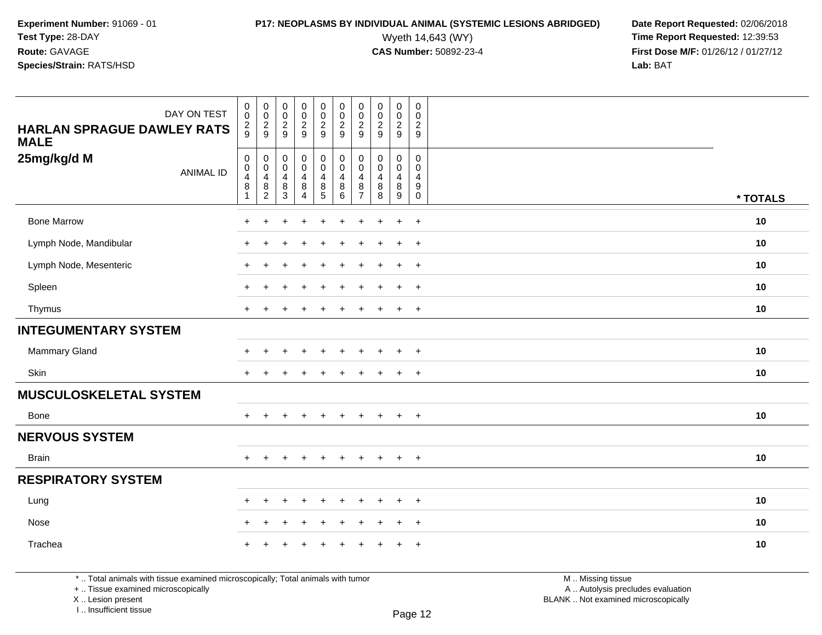# **P17: NEOPLASMS BY INDIVIDUAL ANIMAL (SYSTEMIC LESIONS ABRIDGED)** Date Report Requested: 02/06/2018<br>Wyeth 14,643 (WY) **Time Report Requested:** 12:39:53

Wyeth 14,643 (WY) **Time Report Requested:** 12:39:53<br>**CAS Number:** 50892-23-4 **Time Report Requested:** 12:39:53 **First Dose M/F:** 01/26/12 / 01/27/12<br>**Lab:** BAT **Lab:** BAT

| DAY ON TEST<br><b>HARLAN SPRAGUE DAWLEY RATS</b><br><b>MALE</b> | $_{\rm 0}^{\rm 0}$<br>$\frac{2}{9}$                   | $\begin{array}{c} 0 \\ 0 \\ 2 \\ 9 \end{array}$                   | $\begin{array}{c} 0 \\ 0 \\ 2 \\ 9 \end{array}$                                | 0<br>$\mathbf 0$<br>$\frac{2}{9}$               | 00029                                                         | $\begin{smallmatrix} 0\\0 \end{smallmatrix}$<br>$\frac{2}{9}$ | $\pmb{0}$<br>$\pmb{0}$<br>$\sqrt{2}$<br>9                 | $\begin{array}{c} 0 \\ 0 \\ 2 \\ 9 \end{array}$              | $\pmb{0}$<br>$\pmb{0}$<br>$\frac{2}{9}$      | $\pmb{0}$<br>$\mathsf 0$<br>$\sqrt{2}$<br>9         |          |
|-----------------------------------------------------------------|-------------------------------------------------------|-------------------------------------------------------------------|--------------------------------------------------------------------------------|-------------------------------------------------|---------------------------------------------------------------|---------------------------------------------------------------|-----------------------------------------------------------|--------------------------------------------------------------|----------------------------------------------|-----------------------------------------------------|----------|
| 25mg/kg/d M<br><b>ANIMAL ID</b>                                 | 0<br>$\mathbf 0$<br>$\overline{\mathbf{r}}$<br>8<br>1 | $\begin{array}{c} 0 \\ 0 \\ 4 \\ 8 \end{array}$<br>$\overline{2}$ | $\begin{smallmatrix} 0\\0 \end{smallmatrix}$<br>$\overline{4}$<br>$\bf 8$<br>3 | $_0^0$<br>$\overline{4}$<br>8<br>$\overline{4}$ | $_{\rm 0}^{\rm 0}$<br>$\overline{4}$<br>$\bf 8$<br>$\sqrt{5}$ | $\mathbf 0$<br>$\mathbf 0$<br>$\overline{4}$<br>$\bf 8$<br>6  | $\pmb{0}$<br>$\mathbf 0$<br>4<br>$\bf8$<br>$\overline{7}$ | $\mathbf 0$<br>$\mathbf 0$<br>$\overline{4}$<br>$\bf 8$<br>8 | 0<br>$\mathbf 0$<br>$\overline{4}$<br>8<br>9 | $\mathbf 0$<br>$\mathbf 0$<br>4<br>9<br>$\mathbf 0$ | * TOTALS |
| <b>Bone Marrow</b>                                              | $\ddot{}$                                             |                                                                   |                                                                                |                                                 |                                                               |                                                               |                                                           | $\ddot{}$                                                    | $\ddot{}$                                    | $\ddot{}$                                           | $10$     |
| Lymph Node, Mandibular                                          | $\ddot{}$                                             |                                                                   | $\overline{ }$                                                                 |                                                 |                                                               |                                                               |                                                           | $\div$                                                       | $\ddot{}$                                    | $+$                                                 | 10       |
| Lymph Node, Mesenteric                                          | +                                                     |                                                                   |                                                                                |                                                 |                                                               |                                                               |                                                           |                                                              | $\ddot{}$                                    | $^{+}$                                              | 10       |
| Spleen                                                          | ÷                                                     |                                                                   |                                                                                |                                                 |                                                               |                                                               |                                                           |                                                              | $\pm$                                        | $+$                                                 | 10       |
| Thymus                                                          | $\ddot{}$                                             | $\pm$                                                             | $\pm$                                                                          | $\pm$                                           | $\div$                                                        |                                                               |                                                           | $\div$                                                       | $+$                                          | $+$                                                 | 10       |
| <b>INTEGUMENTARY SYSTEM</b>                                     |                                                       |                                                                   |                                                                                |                                                 |                                                               |                                                               |                                                           |                                                              |                                              |                                                     |          |
| Mammary Gland                                                   | ÷                                                     |                                                                   |                                                                                |                                                 |                                                               |                                                               |                                                           |                                                              | $\pm$                                        | $+$                                                 | 10       |
| Skin                                                            | ÷                                                     |                                                                   |                                                                                |                                                 |                                                               |                                                               |                                                           |                                                              | $\ddot{}$                                    | $+$                                                 | 10       |
| <b>MUSCULOSKELETAL SYSTEM</b>                                   |                                                       |                                                                   |                                                                                |                                                 |                                                               |                                                               |                                                           |                                                              |                                              |                                                     |          |
| Bone                                                            | $+$                                                   |                                                                   | $\pm$                                                                          | $\div$                                          |                                                               | $\ddot{}$                                                     | $\div$                                                    | $\ddot{}$                                                    | $+$                                          | $+$                                                 | 10       |
| <b>NERVOUS SYSTEM</b>                                           |                                                       |                                                                   |                                                                                |                                                 |                                                               |                                                               |                                                           |                                                              |                                              |                                                     |          |
| <b>Brain</b>                                                    | $\ddot{}$                                             |                                                                   | $\pm$                                                                          | $\div$                                          |                                                               |                                                               |                                                           | $\div$                                                       | $+$                                          | $+$                                                 | 10       |
| <b>RESPIRATORY SYSTEM</b>                                       |                                                       |                                                                   |                                                                                |                                                 |                                                               |                                                               |                                                           |                                                              |                                              |                                                     |          |
| Lung                                                            | ÷                                                     |                                                                   | $\div$                                                                         |                                                 |                                                               |                                                               |                                                           |                                                              | $\pm$                                        | $+$                                                 | 10       |
| Nose                                                            | $\ddot{}$                                             | $\div$                                                            | $\overline{ }$                                                                 | $\div$                                          |                                                               |                                                               |                                                           | $\div$                                                       | $\ddot{}$                                    | $+$                                                 | 10       |
| Trachea                                                         |                                                       |                                                                   |                                                                                |                                                 |                                                               |                                                               |                                                           |                                                              | $\pm$                                        | $+$                                                 | 10       |

\* .. Total animals with tissue examined microscopically; Total animals with tumor

+ .. Tissue examined microscopically

X .. Lesion present

I .. Insufficient tissue

M .. Missing tissue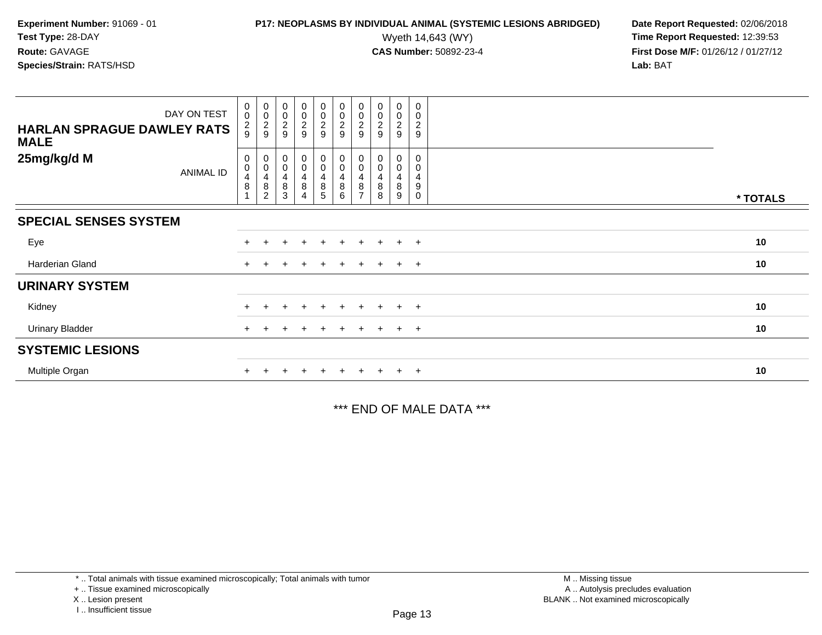## **P17: NEOPLASMS BY INDIVIDUAL ANIMAL (SYSTEMIC LESIONS ABRIDGED)** Date Report Requested: 02/06/2018<br>Wyeth 14,643 (WY) **Time Report Requested: 12:39:53**

Wyeth 14,643 (WY) **Time Report Requested:** 12:39:53<br>**CAS Number:** 50892-23-4 **Time Report Requested:** 12:39:53 **First Dose M/F:** 01/26/12 / 01/27/12<br>**Lab:** BAT **Lab:** BAT

| DAY ON TEST<br><b>HARLAN SPRAGUE DAWLEY RATS</b><br><b>MALE</b> | $\begin{smallmatrix}0\0\0\end{smallmatrix}$<br>$\frac{2}{9}$ | 00029                                                            | $_{0}^{0}$<br>$\frac{2}{9}$                  | $\begin{array}{c} 0 \\ 0 \\ 2 \\ 9 \end{array}$ | 00029                                                            | 00029                                                             | $_{\rm 0}^{\rm 0}$<br>$\frac{2}{9}$        | $\begin{smallmatrix} 0\\0 \end{smallmatrix}$<br>2<br>9 | 0<br>0<br>2<br>9      | 0<br>0<br>$\frac{2}{9}$                                     |          |
|-----------------------------------------------------------------|--------------------------------------------------------------|------------------------------------------------------------------|----------------------------------------------|-------------------------------------------------|------------------------------------------------------------------|-------------------------------------------------------------------|--------------------------------------------|--------------------------------------------------------|-----------------------|-------------------------------------------------------------|----------|
| 25mg/kg/d M<br><b>ANIMAL ID</b>                                 | 0<br>$\pmb{0}$<br>$\overline{4}$<br>$\, 8$                   | 0<br>$\pmb{0}$<br>$\overline{\mathbf{r}}$<br>8<br>$\overline{c}$ | $\boldsymbol{0}$<br>$\pmb{0}$<br>4<br>8<br>3 | 0<br>0<br>$\frac{4}{8}$<br>4                    | $_{\rm 0}^{\rm 0}$<br>$\begin{array}{c} 4 \\ 8 \\ 5 \end{array}$ | $\pmb{0}$<br>$\pmb{0}$<br>$\overline{\mathbf{4}}$<br>$\bf 8$<br>6 | 0<br>$\pmb{0}$<br>4<br>8<br>$\overline{ }$ | 0<br>$\pmb{0}$<br>4<br>8<br>8                          | 0<br>0<br>4<br>8<br>9 | 0<br>0<br>$\overline{4}$<br>$\boldsymbol{9}$<br>$\mathbf 0$ | * TOTALS |
| <b>SPECIAL SENSES SYSTEM</b>                                    |                                                              |                                                                  |                                              |                                                 |                                                                  |                                                                   |                                            |                                                        |                       |                                                             |          |
| Eye                                                             |                                                              |                                                                  |                                              | $\ddot{}$                                       | $+$                                                              | $+$                                                               | $\ddot{}$                                  | $+$                                                    | $+$                   | $+$                                                         | 10       |
| Harderian Gland                                                 | $+$                                                          |                                                                  | ÷                                            | $\div$                                          | $\pm$                                                            | $+$                                                               | $\pm$                                      | $+$                                                    | $+$                   | $+$                                                         | 10       |
| <b>URINARY SYSTEM</b>                                           |                                                              |                                                                  |                                              |                                                 |                                                                  |                                                                   |                                            |                                                        |                       |                                                             |          |
| Kidney                                                          |                                                              |                                                                  |                                              |                                                 | $+$                                                              |                                                                   | $\ddot{}$                                  |                                                        | $\ddot{}$             | $+$                                                         | 10       |
| <b>Urinary Bladder</b>                                          | $+$                                                          | $\pm$                                                            | $+$                                          | $\ddot{}$                                       | $+$                                                              | $+$                                                               | $+$                                        | $+$                                                    | $+$ $+$               |                                                             | 10       |
| <b>SYSTEMIC LESIONS</b>                                         |                                                              |                                                                  |                                              |                                                 |                                                                  |                                                                   |                                            |                                                        |                       |                                                             |          |
| Multiple Organ                                                  |                                                              |                                                                  |                                              |                                                 | $+$                                                              | $+$                                                               | $+$                                        | $+$                                                    | $+$                   | $+$                                                         | 10       |

\*\*\* END OF MALE DATA \*\*\*

<sup>\* ..</sup> Total animals with tissue examined microscopically; Total animals with tumor

<sup>+ ..</sup> Tissue examined microscopically

X .. Lesion present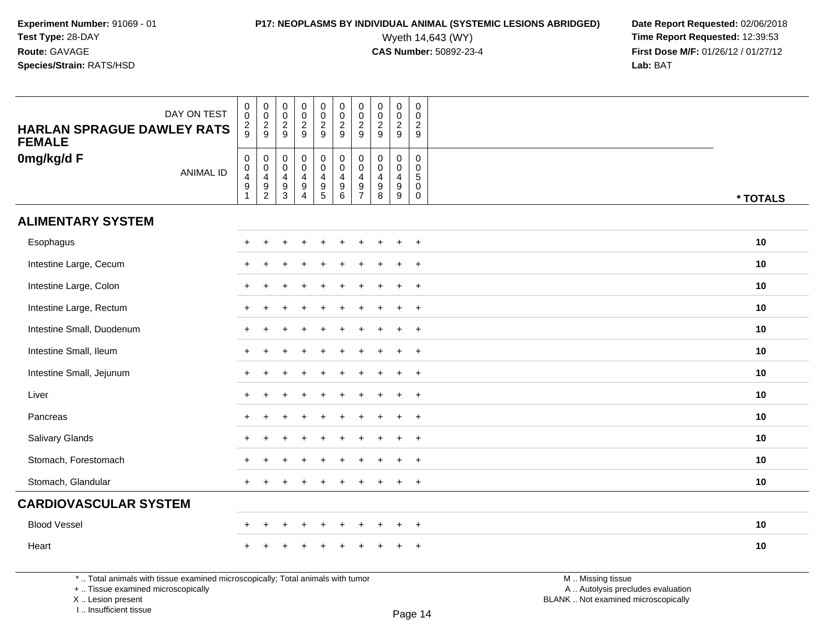# **P17: NEOPLASMS BY INDIVIDUAL ANIMAL (SYSTEMIC LESIONS ABRIDGED)** Date Report Requested: 02/06/2018<br>Wyeth 14,643 (WY) **Time Report Requested:** 12:39:53

Wyeth 14,643 (WY) **Time Report Requested:** 12:39:53<br>**CAS Number:** 50892-23-4 **Time Report Requested:** 12:39:53 **First Dose M/F:** 01/26/12 / 01/27/12<br>**Lab:** BAT **Lab:** BAT

| DAY ON TEST<br><b>HARLAN SPRAGUE DAWLEY RATS</b><br><b>FEMALE</b> | $\begin{smallmatrix} 0\\0 \end{smallmatrix}$<br>$\frac{2}{9}$                           | $_{\rm 0}^{\rm 0}$<br>$\frac{2}{9}$                                               | $\boldsymbol{0}$<br>$\overline{0}$<br>$\frac{2}{9}$                            | $\boldsymbol{0}$<br>$\bar{0}$<br>$\frac{2}{9}$                                   | $\mathsf{O}\xspace$<br>$\overline{0}$<br>$\frac{2}{9}$                   | $\begin{array}{c} 0 \\ 0 \\ 2 \\ 9 \end{array}$                                      | $\pmb{0}$<br>$\frac{0}{2}$                                                         | $\mathbf 0$<br>$\mathbf 0$<br>$\frac{2}{9}$                | $\mathsf{O}\xspace$<br>$\overline{0}$<br>$\frac{2}{9}$                | $\mathbf 0$<br>$\mathbf 0$<br>$\frac{2}{9}$                                 |          |
|-------------------------------------------------------------------|-----------------------------------------------------------------------------------------|-----------------------------------------------------------------------------------|--------------------------------------------------------------------------------|----------------------------------------------------------------------------------|--------------------------------------------------------------------------|--------------------------------------------------------------------------------------|------------------------------------------------------------------------------------|------------------------------------------------------------|-----------------------------------------------------------------------|-----------------------------------------------------------------------------|----------|
| 0mg/kg/d F<br><b>ANIMAL ID</b>                                    | $\mathbf 0$<br>$\pmb{0}$<br>$\overline{\mathbf{4}}$<br>$\boldsymbol{9}$<br>$\mathbf{1}$ | $\mathbf 0$<br>$\mathbf 0$<br>$\begin{array}{c} 4 \\ 9 \end{array}$<br>$\sqrt{2}$ | $\mathbf 0$<br>$\mathbf 0$<br>$\overline{\mathbf{4}}$<br>$\boldsymbol{9}$<br>3 | $\pmb{0}$<br>$\mathbf 0$<br>$\overline{4}$<br>$\boldsymbol{9}$<br>$\overline{4}$ | $\mathbf 0$<br>$\mathbf 0$<br>$\begin{array}{c} 4 \\ 9 \\ 5 \end{array}$ | $\mathbf 0$<br>$\mathbf 0$<br>$\overline{\mathbf{4}}$<br>$\boldsymbol{9}$<br>$\,6\,$ | $\mathbf 0$<br>$\mathbf 0$<br>$\overline{4}$<br>$\boldsymbol{9}$<br>$\overline{7}$ | $\mathbf 0$<br>$\mathbf 0$<br>$\overline{4}$<br>$9\,$<br>8 | $\mathbf 0$<br>$\mathbf 0$<br>$\overline{4}$<br>$\boldsymbol{9}$<br>9 | $\mathbf 0$<br>$\mathbf 0$<br>$5\phantom{.0}$<br>$\mathbf 0$<br>$\mathbf 0$ | * TOTALS |
| <b>ALIMENTARY SYSTEM</b>                                          |                                                                                         |                                                                                   |                                                                                |                                                                                  |                                                                          |                                                                                      |                                                                                    |                                                            |                                                                       |                                                                             |          |
| Esophagus                                                         |                                                                                         |                                                                                   |                                                                                |                                                                                  |                                                                          |                                                                                      |                                                                                    |                                                            | $\div$                                                                | $^{+}$                                                                      | 10       |
| Intestine Large, Cecum                                            |                                                                                         |                                                                                   |                                                                                |                                                                                  |                                                                          |                                                                                      |                                                                                    |                                                            | ÷                                                                     | $\ddot{}$                                                                   | 10       |
| Intestine Large, Colon                                            |                                                                                         |                                                                                   |                                                                                |                                                                                  |                                                                          |                                                                                      |                                                                                    |                                                            | $\ddot{}$                                                             | $+$                                                                         | 10       |
| Intestine Large, Rectum                                           |                                                                                         |                                                                                   |                                                                                |                                                                                  |                                                                          |                                                                                      |                                                                                    |                                                            | $\ddot{}$                                                             | $+$                                                                         | 10       |
| Intestine Small, Duodenum                                         |                                                                                         | $\div$                                                                            |                                                                                |                                                                                  |                                                                          |                                                                                      |                                                                                    |                                                            | $\ddot{}$                                                             | $+$                                                                         | 10       |
| Intestine Small, Ileum                                            |                                                                                         |                                                                                   |                                                                                |                                                                                  |                                                                          |                                                                                      |                                                                                    |                                                            | ÷                                                                     | $\ddot{}$                                                                   | 10       |
| Intestine Small, Jejunum                                          |                                                                                         |                                                                                   |                                                                                |                                                                                  |                                                                          |                                                                                      |                                                                                    |                                                            | $\ddot{}$                                                             | $^{+}$                                                                      | 10       |
| Liver                                                             |                                                                                         |                                                                                   |                                                                                |                                                                                  |                                                                          |                                                                                      |                                                                                    |                                                            | $\ddot{}$                                                             | $+$                                                                         | 10       |
| Pancreas                                                          | $\ddot{}$                                                                               | $+$                                                                               |                                                                                |                                                                                  |                                                                          |                                                                                      |                                                                                    |                                                            | $\ddot{}$                                                             | $+$                                                                         | 10       |
| Salivary Glands                                                   |                                                                                         |                                                                                   |                                                                                |                                                                                  |                                                                          |                                                                                      |                                                                                    |                                                            | $\ddot{}$                                                             | $\ddot{}$                                                                   | 10       |
| Stomach, Forestomach                                              |                                                                                         |                                                                                   |                                                                                |                                                                                  |                                                                          |                                                                                      |                                                                                    |                                                            | $\ddot{}$                                                             | $+$                                                                         | 10       |
| Stomach, Glandular                                                |                                                                                         |                                                                                   |                                                                                |                                                                                  |                                                                          |                                                                                      |                                                                                    |                                                            | $\ddot{}$                                                             | $^{+}$                                                                      | 10       |
| <b>CARDIOVASCULAR SYSTEM</b>                                      |                                                                                         |                                                                                   |                                                                                |                                                                                  |                                                                          |                                                                                      |                                                                                    |                                                            |                                                                       |                                                                             |          |
| <b>Blood Vessel</b>                                               |                                                                                         | $\ddot{}$                                                                         |                                                                                | $\ddot{}$                                                                        | $\ddot{}$                                                                | $\div$                                                                               |                                                                                    |                                                            | $\ddot{}$                                                             | $\ddot{}$                                                                   | 10       |
| Heart                                                             |                                                                                         |                                                                                   |                                                                                |                                                                                  |                                                                          |                                                                                      |                                                                                    |                                                            |                                                                       | $\overline{ }$                                                              | 10       |

\* .. Total animals with tissue examined microscopically; Total animals with tumor

+ .. Tissue examined microscopically

 Lesion present BLANK .. Not examined microscopicallyX .. Lesion present

I .. Insufficient tissue

M .. Missing tissue y the contract of the contract of the contract of the contract of the contract of  $\mathsf A$  . Autolysis precludes evaluation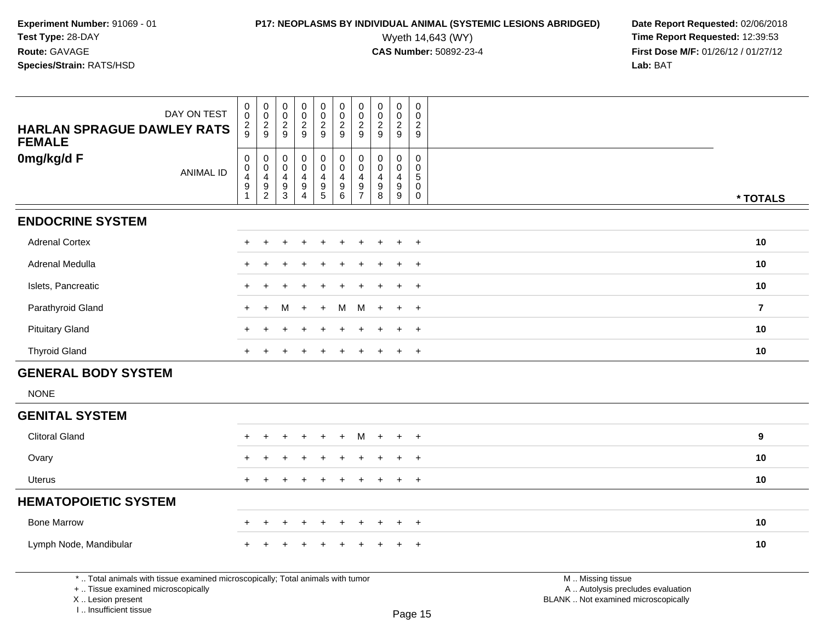# **P17: NEOPLASMS BY INDIVIDUAL ANIMAL (SYSTEMIC LESIONS ABRIDGED)** Date Report Requested: 02/06/2018<br>Wyeth 14,643 (WY) **Time Report Requested: 12:39:53**

| DAY ON TEST<br><b>HARLAN SPRAGUE DAWLEY RATS</b>                                                                                                                   | $\pmb{0}$<br>$\mathsf{O}\xspace$<br>$\frac{2}{9}$ | 0<br>$\mathbf 0$<br>$\frac{2}{9}$ | $\pmb{0}$<br>0<br>$\overline{c}$<br>9 | $\pmb{0}$<br>$\mathsf{O}\xspace$<br>$\sqrt{2}$<br>9 | $\pmb{0}$<br>$\mathbf 0$<br>$\boldsymbol{2}$<br>9 | $\pmb{0}$<br>$\mathsf 0$<br>$\frac{2}{9}$ | $\pmb{0}$<br>$\mathbf 0$<br>$\overline{c}$<br>9 | $\mathbf 0$<br>$\mathsf{O}\xspace$<br>$\overline{\mathbf{c}}$<br>9 | $\pmb{0}$<br>$\mathsf{O}$<br>$\overline{c}$<br>9 | $\pmb{0}$<br>$\mathbf 0$<br>$\overline{c}$<br>9 |                                                                                               |                |
|--------------------------------------------------------------------------------------------------------------------------------------------------------------------|---------------------------------------------------|-----------------------------------|---------------------------------------|-----------------------------------------------------|---------------------------------------------------|-------------------------------------------|-------------------------------------------------|--------------------------------------------------------------------|--------------------------------------------------|-------------------------------------------------|-----------------------------------------------------------------------------------------------|----------------|
| <b>FEMALE</b>                                                                                                                                                      |                                                   |                                   |                                       |                                                     |                                                   |                                           |                                                 |                                                                    |                                                  |                                                 |                                                                                               |                |
| 0mg/kg/d F                                                                                                                                                         | $\pmb{0}$<br>$\mathbf 0$                          | 0<br>$\mathbf 0$                  | 0<br>$\Omega$                         | $\pmb{0}$<br>$\mathbf 0$                            | $\pmb{0}$<br>$\mathbf 0$                          | $\pmb{0}$<br>$\mathbf 0$                  | 0<br>$\Omega$                                   | $\mathbf 0$<br>$\mathbf 0$                                         | $\mathbf 0$<br>$\mathbf 0$                       | $\mathbf 0$<br>0                                |                                                                                               |                |
| <b>ANIMAL ID</b>                                                                                                                                                   | $\overline{\mathbf{4}}$<br>$\boldsymbol{9}$       | 4<br>9                            | 4                                     | 4<br>$\boldsymbol{9}$                               | 4                                                 | $\overline{4}$<br>$9\,$                   | 4<br>9                                          | 4<br>$\boldsymbol{9}$                                              | 4<br>9                                           | $5\phantom{.0}$<br>$\mathbf 0$                  |                                                                                               |                |
|                                                                                                                                                                    | $\mathbf{1}$                                      | $\overline{2}$                    | $\frac{9}{3}$                         | $\overline{4}$                                      | $\begin{array}{c} 9 \\ 5 \end{array}$             | 6                                         | $\overline{7}$                                  | 8                                                                  | $\overline{9}$                                   | $\mathsf{O}$                                    |                                                                                               | * TOTALS       |
| <b>ENDOCRINE SYSTEM</b>                                                                                                                                            |                                                   |                                   |                                       |                                                     |                                                   |                                           |                                                 |                                                                    |                                                  |                                                 |                                                                                               |                |
| <b>Adrenal Cortex</b>                                                                                                                                              |                                                   |                                   |                                       |                                                     |                                                   |                                           |                                                 |                                                                    |                                                  | $\ddot{}$                                       |                                                                                               | 10             |
| <b>Adrenal Medulla</b>                                                                                                                                             |                                                   |                                   |                                       |                                                     |                                                   |                                           |                                                 |                                                                    |                                                  | $\ddot{}$                                       |                                                                                               | 10             |
| Islets, Pancreatic                                                                                                                                                 |                                                   |                                   |                                       |                                                     |                                                   |                                           |                                                 |                                                                    |                                                  | $\ddot{}$                                       |                                                                                               | 10             |
| Parathyroid Gland                                                                                                                                                  | $\ddot{}$                                         | $\ddot{}$                         | м                                     | $+$                                                 | $+$                                               | M                                         | M                                               | $\ddot{}$                                                          | $+$                                              | $+$                                             |                                                                                               | $\overline{7}$ |
| <b>Pituitary Gland</b>                                                                                                                                             |                                                   |                                   |                                       |                                                     |                                                   |                                           |                                                 |                                                                    | $\ddot{}$                                        | $+$                                             |                                                                                               | 10             |
| <b>Thyroid Gland</b>                                                                                                                                               |                                                   |                                   |                                       |                                                     |                                                   |                                           |                                                 |                                                                    | $\ddot{}$                                        | $+$                                             |                                                                                               | 10             |
| <b>GENERAL BODY SYSTEM</b>                                                                                                                                         |                                                   |                                   |                                       |                                                     |                                                   |                                           |                                                 |                                                                    |                                                  |                                                 |                                                                                               |                |
| <b>NONE</b>                                                                                                                                                        |                                                   |                                   |                                       |                                                     |                                                   |                                           |                                                 |                                                                    |                                                  |                                                 |                                                                                               |                |
| <b>GENITAL SYSTEM</b>                                                                                                                                              |                                                   |                                   |                                       |                                                     |                                                   |                                           |                                                 |                                                                    |                                                  |                                                 |                                                                                               |                |
| <b>Clitoral Gland</b>                                                                                                                                              |                                                   |                                   |                                       |                                                     |                                                   |                                           | м                                               |                                                                    |                                                  | $\ddot{}$                                       |                                                                                               | 9              |
| Ovary                                                                                                                                                              |                                                   |                                   |                                       |                                                     |                                                   |                                           |                                                 |                                                                    |                                                  | $\ddot{}$                                       |                                                                                               | 10             |
| <b>Uterus</b>                                                                                                                                                      | $+$                                               | $\pm$                             |                                       |                                                     |                                                   |                                           |                                                 |                                                                    | $+$                                              | $+$                                             |                                                                                               | 10             |
| <b>HEMATOPOIETIC SYSTEM</b>                                                                                                                                        |                                                   |                                   |                                       |                                                     |                                                   |                                           |                                                 |                                                                    |                                                  |                                                 |                                                                                               |                |
| <b>Bone Marrow</b>                                                                                                                                                 |                                                   |                                   |                                       |                                                     |                                                   |                                           |                                                 |                                                                    | $\ddot{}$                                        | $\ddot{}$                                       |                                                                                               | 10             |
| Lymph Node, Mandibular                                                                                                                                             |                                                   |                                   |                                       |                                                     |                                                   |                                           |                                                 |                                                                    | $\ddot{}$                                        | $+$                                             |                                                                                               | 10             |
| *  Total animals with tissue examined microscopically; Total animals with tumor<br>+  Tissue examined microscopically<br>X Lesion present<br>I Insufficient tissue |                                                   |                                   |                                       |                                                     |                                                   |                                           |                                                 |                                                                    |                                                  | Dao 4E                                          | M  Missing tissue<br>A  Autolysis precludes evaluation<br>BLANK  Not examined microscopically |                |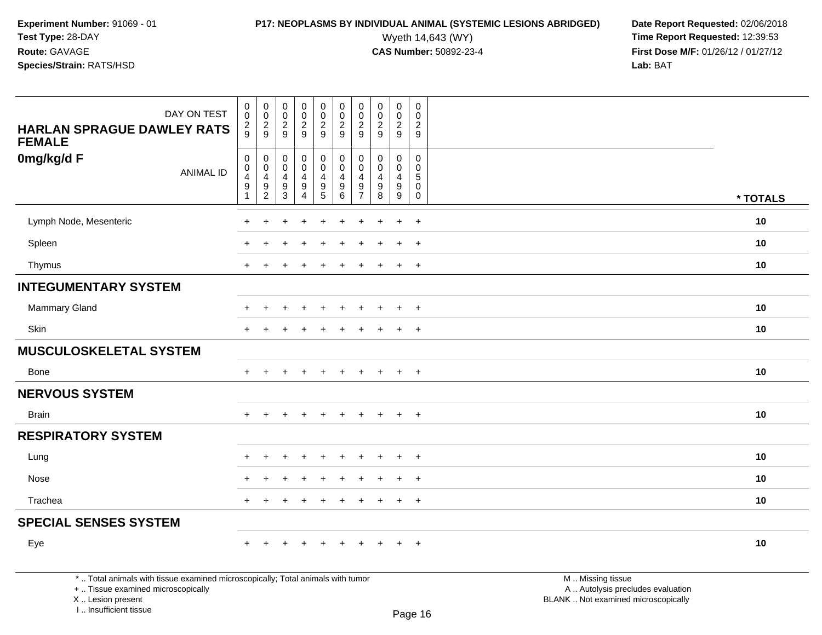**Experiment Number:** 91069 - 01**Test Type:** 28-DAY**Route:** GAVAGE

I .. Insufficient tissue

### **Species/Strain:** RATS/HSD

| <b>HARLAN SPRAGUE DAWLEY RATS</b><br><b>FEMALE</b>                                                                                        | DAY ON TEST      | $\mathbf 0$<br>0<br>$\overline{\mathbf{c}}$<br>9                  | $\mathbf 0$<br>$\overline{0}$<br>$\frac{2}{9}$                      | $\pmb{0}$<br>$\mathsf{O}\xspace$<br>$\frac{2}{9}$                | $\mathsf{O}\xspace$<br>$\overline{0}$<br>$\overline{a}$<br>9 | $\begin{smallmatrix} 0\\0 \end{smallmatrix}$<br>$\frac{2}{9}$ | $\pmb{0}$<br>$\overline{0}$<br>$\boldsymbol{2}$<br>$\boldsymbol{9}$              | $\begin{smallmatrix} 0\\0 \end{smallmatrix}$<br>$\sqrt{2}$<br>9                    | $\mathbf 0$<br>$\mathsf{O}\xspace$<br>$\sqrt{2}$<br>9 | $\pmb{0}$<br>$\ddot{\mathbf{0}}$<br>$\frac{2}{9}$                       | $\mathsf 0$<br>$\mathbf 0$<br>$\frac{2}{9}$                   |                                                                                               |          |
|-------------------------------------------------------------------------------------------------------------------------------------------|------------------|-------------------------------------------------------------------|---------------------------------------------------------------------|------------------------------------------------------------------|--------------------------------------------------------------|---------------------------------------------------------------|----------------------------------------------------------------------------------|------------------------------------------------------------------------------------|-------------------------------------------------------|-------------------------------------------------------------------------|---------------------------------------------------------------|-----------------------------------------------------------------------------------------------|----------|
| 0mg/kg/d F                                                                                                                                | <b>ANIMAL ID</b> | $\pmb{0}$<br>$\mathbf 0$<br>4<br>$\boldsymbol{9}$<br>$\mathbf{1}$ | $\pmb{0}$<br>$\mathbf 0$<br>4<br>$\boldsymbol{9}$<br>$\overline{c}$ | $\pmb{0}$<br>$\mathbf 0$<br>4<br>$\boldsymbol{9}$<br>$\mathsf 3$ | 0<br>$\mathbf 0$<br>4<br>$\boldsymbol{9}$<br>4               | $\pmb{0}$<br>$\mathbf 0$<br>$\overline{4}$<br>$\frac{9}{5}$   | $\pmb{0}$<br>$\mathbf 0$<br>$\overline{4}$<br>$\boldsymbol{9}$<br>$6\phantom{a}$ | $\mathbf 0$<br>$\mathbf 0$<br>$\overline{4}$<br>$\boldsymbol{9}$<br>$\overline{7}$ | $\mathbf 0$<br>$\Omega$<br>4<br>$9\,$<br>8            | $\mathbf 0$<br>$\mathbf 0$<br>4<br>$\boldsymbol{9}$<br>$\boldsymbol{9}$ | $\mathbf 0$<br>$\mathbf 0$<br>5<br>$\mathbf 0$<br>$\mathsf 0$ |                                                                                               | * TOTALS |
| Lymph Node, Mesenteric                                                                                                                    |                  |                                                                   | ÷                                                                   |                                                                  |                                                              |                                                               |                                                                                  |                                                                                    |                                                       | $\ddot{}$                                                               | $+$                                                           |                                                                                               | 10       |
| Spleen                                                                                                                                    |                  |                                                                   |                                                                     |                                                                  |                                                              |                                                               |                                                                                  |                                                                                    |                                                       | $\div$                                                                  | $+$                                                           |                                                                                               | 10       |
| Thymus                                                                                                                                    |                  | $+$                                                               |                                                                     |                                                                  | $\ddot{}$                                                    | $\ddot{}$                                                     | $\overline{1}$                                                                   | $+$                                                                                | ÷                                                     | $\ddot{}$                                                               | $+$                                                           |                                                                                               | 10       |
| <b>INTEGUMENTARY SYSTEM</b>                                                                                                               |                  |                                                                   |                                                                     |                                                                  |                                                              |                                                               |                                                                                  |                                                                                    |                                                       |                                                                         |                                                               |                                                                                               |          |
| Mammary Gland                                                                                                                             |                  |                                                                   |                                                                     |                                                                  |                                                              |                                                               |                                                                                  |                                                                                    |                                                       |                                                                         | $\ddot{}$                                                     |                                                                                               | 10       |
| Skin                                                                                                                                      |                  |                                                                   |                                                                     |                                                                  |                                                              |                                                               |                                                                                  |                                                                                    |                                                       | $\ddot{}$                                                               | $\ddot{}$                                                     |                                                                                               | 10       |
| <b>MUSCULOSKELETAL SYSTEM</b>                                                                                                             |                  |                                                                   |                                                                     |                                                                  |                                                              |                                                               |                                                                                  |                                                                                    |                                                       |                                                                         |                                                               |                                                                                               |          |
| Bone                                                                                                                                      |                  | $+$                                                               | $+$                                                                 | $+$                                                              | $+$                                                          | $+$                                                           | $+$                                                                              | $+$                                                                                | $+$                                                   | $+$                                                                     | $+$                                                           |                                                                                               | 10       |
| <b>NERVOUS SYSTEM</b>                                                                                                                     |                  |                                                                   |                                                                     |                                                                  |                                                              |                                                               |                                                                                  |                                                                                    |                                                       |                                                                         |                                                               |                                                                                               |          |
| <b>Brain</b>                                                                                                                              |                  | $\div$                                                            | $\div$                                                              |                                                                  | $\ddot{}$                                                    | $\ddot{}$                                                     | $\ddot{}$                                                                        | $\pm$                                                                              | $+$                                                   | $+$                                                                     | $+$                                                           |                                                                                               | 10       |
| <b>RESPIRATORY SYSTEM</b>                                                                                                                 |                  |                                                                   |                                                                     |                                                                  |                                                              |                                                               |                                                                                  |                                                                                    |                                                       |                                                                         |                                                               |                                                                                               |          |
| Lung                                                                                                                                      |                  |                                                                   |                                                                     |                                                                  |                                                              |                                                               |                                                                                  |                                                                                    |                                                       | $\ddot{}$                                                               | $+$                                                           |                                                                                               | 10       |
| Nose                                                                                                                                      |                  |                                                                   |                                                                     |                                                                  |                                                              |                                                               |                                                                                  |                                                                                    |                                                       | $\ddot{}$                                                               | $^{+}$                                                        |                                                                                               | 10       |
| Trachea                                                                                                                                   |                  | $+$                                                               | $\ddot{}$                                                           |                                                                  |                                                              | $\ddot{}$                                                     | $\overline{1}$                                                                   | ÷                                                                                  | $\ddot{}$                                             | $\ddot{}$                                                               | $^{+}$                                                        |                                                                                               | 10       |
| <b>SPECIAL SENSES SYSTEM</b>                                                                                                              |                  |                                                                   |                                                                     |                                                                  |                                                              |                                                               |                                                                                  |                                                                                    |                                                       |                                                                         |                                                               |                                                                                               |          |
| Eye                                                                                                                                       |                  |                                                                   |                                                                     |                                                                  |                                                              |                                                               |                                                                                  |                                                                                    |                                                       |                                                                         | $+$                                                           |                                                                                               | 10       |
| *  Total animals with tissue examined microscopically; Total animals with tumor<br>+  Tissue examined microscopically<br>X Lesion present |                  |                                                                   |                                                                     |                                                                  |                                                              |                                                               |                                                                                  |                                                                                    |                                                       |                                                                         |                                                               | M  Missing tissue<br>A  Autolysis precludes evaluation<br>BLANK  Not examined microscopically |          |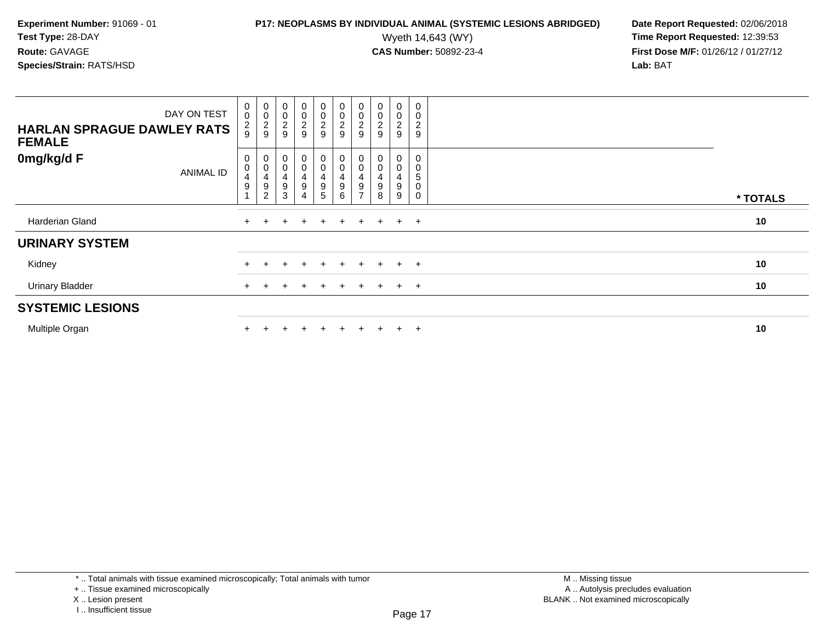**Experiment Number:** 91069 - 01**Test Type:** 28-DAY**Route:** GAVAGE

### **Species/Strain:** RATS/HSD

| DAY ON TEST<br><b>HARLAN SPRAGUE DAWLEY RATS</b><br><b>FEMALE</b> | $\pmb{0}$<br>$\overline{0}$<br>$\frac{2}{9}$ | $_{\rm 0}^{\rm 0}$<br>$\frac{2}{9}$                                                                | $\pmb{0}$<br>$\overline{0}$<br>$\frac{2}{9}$ | $\begin{array}{c} 0 \\ 0 \\ 2 \\ 9 \end{array}$ | $\mathbf 0$<br>$\frac{0}{2}$ | $\begin{array}{c} 0 \\ 0 \\ 2 \\ 9 \end{array}$                        | $_{\rm 0}^{\rm 0}$<br>$\frac{2}{9}$ | $\begin{smallmatrix} 0\\0 \end{smallmatrix}$<br>$\overline{c}$<br>9 | $\mathbf 0$<br>0<br>$\frac{2}{9}$ | $\pmb{0}$<br>$\pmb{0}$<br>$\boldsymbol{2}$<br>9 |          |
|-------------------------------------------------------------------|----------------------------------------------|----------------------------------------------------------------------------------------------------|----------------------------------------------|-------------------------------------------------|------------------------------|------------------------------------------------------------------------|-------------------------------------|---------------------------------------------------------------------|-----------------------------------|-------------------------------------------------|----------|
| 0mg/kg/d F<br><b>ANIMAL ID</b>                                    | 0<br>$\pmb{0}$<br>4<br>9                     | $\begin{smallmatrix}0\\0\end{smallmatrix}$<br>$\overline{4}$<br>$\boldsymbol{9}$<br>$\overline{c}$ | $\mathbf 0$<br>$\mathbf 0$<br>4<br>9<br>3    | $_0^0$<br>$\frac{4}{9}$<br>4                    | 0<br>0<br>$\frac{4}{9}$<br>5 | $_{\rm 0}^{\rm 0}$<br>$\overline{\mathbf{4}}$<br>$\boldsymbol{9}$<br>6 | 0<br>0<br>4<br>9<br>$\rightarrow$   | 0<br>9<br>8                                                         | 0<br>0<br>4<br>9<br>9             | 0<br>5<br>$\mathbf 0$<br>$\mathbf 0$            | * TOTALS |
| Harderian Gland                                                   |                                              |                                                                                                    |                                              |                                                 | $\ddot{}$                    |                                                                        | $\pm$                               | $+$                                                                 | $+$                               | $+$                                             | 10       |
| <b>URINARY SYSTEM</b>                                             |                                              |                                                                                                    |                                              |                                                 |                              |                                                                        |                                     |                                                                     |                                   |                                                 |          |
| Kidney                                                            |                                              |                                                                                                    |                                              | $\ddot{}$                                       | $+$                          | $+$                                                                    | $+$                                 | $+$                                                                 | $+$                               | $+$                                             | 10       |
| <b>Urinary Bladder</b>                                            |                                              |                                                                                                    |                                              |                                                 |                              |                                                                        |                                     | $+$                                                                 | $\ddot{}$                         | $+$                                             | 10       |
| <b>SYSTEMIC LESIONS</b>                                           |                                              |                                                                                                    |                                              |                                                 |                              |                                                                        |                                     |                                                                     |                                   |                                                 |          |
| Multiple Organ                                                    |                                              |                                                                                                    |                                              | $\div$                                          | ÷                            |                                                                        |                                     |                                                                     | $\ddot{}$                         | $+$                                             | 10       |

<sup>\* ..</sup> Total animals with tissue examined microscopically; Total animals with tumor

<sup>+ ..</sup> Tissue examined microscopically

X .. Lesion present

I .. Insufficient tissue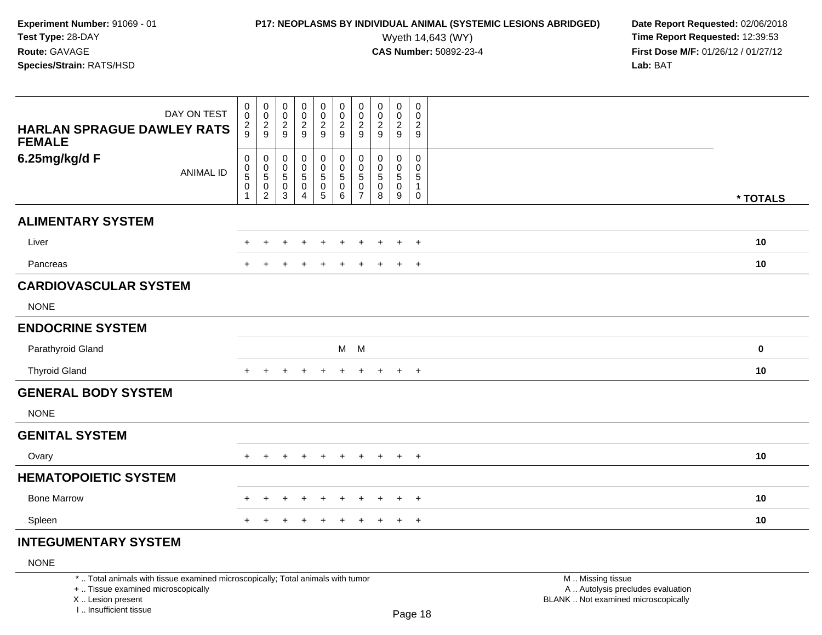## **P17: NEOPLASMS BY INDIVIDUAL ANIMAL (SYSTEMIC LESIONS ABRIDGED)** Date Report Requested: 02/06/2018<br>Wyeth 14,643 (WY) **Time Report Requested: 12:39:53**

Wyeth 14,643 (WY) **Time Report Requested:** 12:39:53<br>**CAS Number:** 50892-23-4 **Time Report Requested:** 12:39:53 **First Dose M/F:** 01/26/12 / 01/27/12<br>**Lab:** BAT **Lab:** BAT

| DAY ON TEST                                        | $_{\rm 0}^{\rm 0}$             | $_{\rm 0}^{\rm 0}$        | $\pmb{0}$<br>$\overline{0}$ | $\mathbf 0$                    | $\pmb{0}$                                   | 00029                   | $\begin{array}{c} 0 \\ 0 \\ 2 \\ 9 \end{array}$ | $\mathbf 0$<br>$\pmb{0}$    | $\pmb{0}$               | 0<br>$\mathbf 0$            |           |
|----------------------------------------------------|--------------------------------|---------------------------|-----------------------------|--------------------------------|---------------------------------------------|-------------------------|-------------------------------------------------|-----------------------------|-------------------------|-----------------------------|-----------|
| <b>HARLAN SPRAGUE DAWLEY RATS</b><br><b>FEMALE</b> | $\frac{2}{9}$                  | $\frac{2}{9}$             | $\frac{2}{9}$               | $\frac{0}{2}$                  | $\frac{0}{2}$                               |                         |                                                 | $\frac{2}{9}$               | $\frac{0}{2}$           | $\frac{2}{9}$               |           |
|                                                    |                                |                           |                             |                                |                                             |                         |                                                 |                             |                         |                             |           |
| 6.25mg/kg/d F<br><b>ANIMAL ID</b>                  | 0<br>$\pmb{0}$                 | $\pmb{0}$<br>$\pmb{0}$    | 0<br>$\mathbf 0$            | 0<br>$\boldsymbol{0}$          | $\begin{smallmatrix}0\0\0\end{smallmatrix}$ | 0<br>$\pmb{0}$          | 0<br>$\mathbf 0$                                | 0<br>$\mathbf 0$            | 0<br>0                  | $\mathbf 0$<br>$\mathbf 0$  |           |
|                                                    | $\sqrt{5}$<br>$\boldsymbol{0}$ | $\sqrt{5}$<br>$\mathbf 0$ | 5<br>$\pmb{0}$              | $\sqrt{5}$<br>$\boldsymbol{0}$ | $\sqrt{5}$<br>$\mathbf 0$                   | $\sqrt{5}$<br>$\pmb{0}$ | $\sqrt{5}$<br>$\pmb{0}$                         | $\overline{5}$<br>$\pmb{0}$ | $\sqrt{5}$<br>$\pmb{0}$ | $\,$ 5 $\,$<br>$\mathbf{1}$ |           |
|                                                    |                                | $\overline{c}$            | 3                           | 4                              | $\overline{5}$                              | $6\phantom{1}$          | $\overline{7}$                                  | 8                           | $\boldsymbol{9}$        | $\mathsf{O}\xspace$         | * TOTALS  |
| <b>ALIMENTARY SYSTEM</b>                           |                                |                           |                             |                                |                                             |                         |                                                 |                             |                         |                             |           |
| Liver                                              | $+$                            | $\ddot{}$                 | $\pm$                       | $\overline{ }$                 | $+$                                         | $\ddot{}$               | $\pm$                                           | $+$                         | $+$                     | $+$                         | 10        |
| Pancreas                                           |                                |                           |                             |                                |                                             |                         |                                                 |                             | $\pm$                   | $+$                         | 10        |
| <b>CARDIOVASCULAR SYSTEM</b>                       |                                |                           |                             |                                |                                             |                         |                                                 |                             |                         |                             |           |
| <b>NONE</b>                                        |                                |                           |                             |                                |                                             |                         |                                                 |                             |                         |                             |           |
| <b>ENDOCRINE SYSTEM</b>                            |                                |                           |                             |                                |                                             |                         |                                                 |                             |                         |                             |           |
| Parathyroid Gland                                  |                                |                           |                             |                                |                                             |                         | $M$ M                                           |                             |                         |                             | $\pmb{0}$ |
| <b>Thyroid Gland</b>                               | $+$                            | $\ddot{}$                 | ÷                           | $\ddot{}$                      | $\ddot{}$                                   | $\ddot{}$               | $+$                                             | $+$                         | $\ddot{}$               | $+$                         | 10        |
| <b>GENERAL BODY SYSTEM</b>                         |                                |                           |                             |                                |                                             |                         |                                                 |                             |                         |                             |           |
| <b>NONE</b>                                        |                                |                           |                             |                                |                                             |                         |                                                 |                             |                         |                             |           |
| <b>GENITAL SYSTEM</b>                              |                                |                           |                             |                                |                                             |                         |                                                 |                             |                         |                             |           |
| Ovary                                              | $+$                            | $\ddot{}$                 | ٠                           | $\ddot{}$                      | $\ddot{}$                                   | $\ddot{}$               | $\pm$                                           | $\pm$                       | $+$                     | $^{+}$                      | 10        |
| <b>HEMATOPOIETIC SYSTEM</b>                        |                                |                           |                             |                                |                                             |                         |                                                 |                             |                         |                             |           |
| <b>Bone Marrow</b>                                 |                                |                           |                             | ÷                              | $\div$                                      | +                       |                                                 | +                           | $\ddot{}$               | $+$                         | 10        |
| Spleen                                             |                                |                           |                             |                                | $\ddot{}$                                   | $\ddot{}$               | $\div$                                          | $\pm$                       | $\ddot{}$               | $+$                         | 10        |
| <b>INTEGUMENTARY SYSTEM</b>                        |                                |                           |                             |                                |                                             |                         |                                                 |                             |                         |                             |           |

### NONE

\* .. Total animals with tissue examined microscopically; Total animals with tumor

+ .. Tissue examined microscopically

X .. Lesion present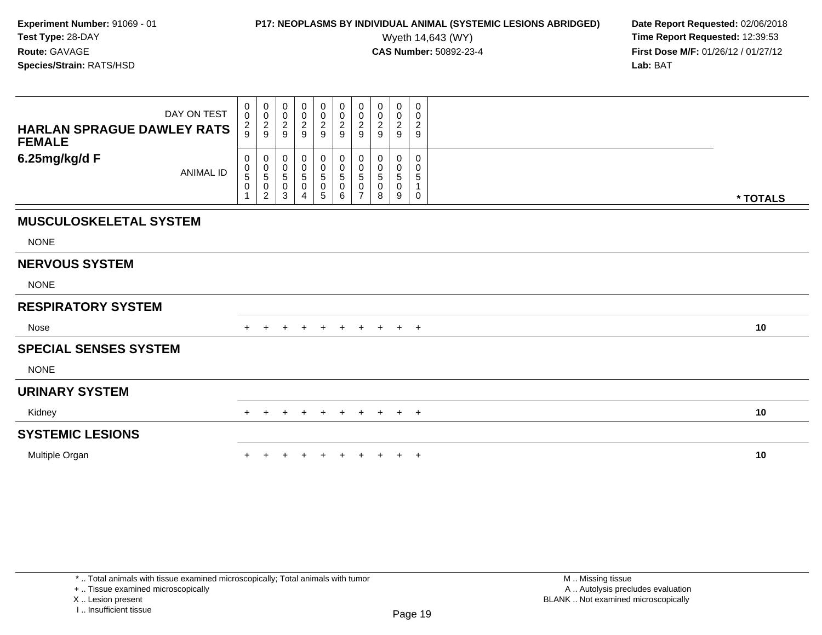## **P17: NEOPLASMS BY INDIVIDUAL ANIMAL (SYSTEMIC LESIONS ABRIDGED)** Date Report Requested: 02/06/2018<br>Wyeth 14,643 (WY) **Time Report Requested: 12:39:53**

Wyeth 14,643 (WY) **Time Report Requested:** 12:39:53<br>**CAS Number:** 50892-23-4 **Time Report Requested:** 12:39:53 **First Dose M/F:** 01/26/12 / 01/27/12<br>**Lab:** BAT **Lab:** BAT

| DAY ON TEST<br><b>HARLAN SPRAGUE DAWLEY RATS</b><br><b>FEMALE</b> | 0<br>$\boldsymbol{0}$<br>$\frac{2}{9}$ | $\overline{0}$<br>$\pmb{0}$<br>$\boldsymbol{2}$<br>9                    | 0<br>0<br>$\overline{c}$<br>9 | $\mathbf 0$<br>$\boldsymbol{0}$<br>$\overline{a}$<br>$\overline{9}$ | 0<br>$\pmb{0}$<br>$\overline{a}$<br>9          | $\pmb{0}$<br>$\pmb{0}$<br>$\boldsymbol{2}$<br>9      | 0<br>0<br>2<br>9                             | 0<br>0<br>2<br>9      | 0<br>$\mathbf 0$<br>$\overline{2}$<br>9 | 0<br>0<br>$\overline{c}$<br>9 |          |
|-------------------------------------------------------------------|----------------------------------------|-------------------------------------------------------------------------|-------------------------------|---------------------------------------------------------------------|------------------------------------------------|------------------------------------------------------|----------------------------------------------|-----------------------|-----------------------------------------|-------------------------------|----------|
| 6.25mg/kg/d F<br><b>ANIMAL ID</b>                                 | 0<br>0<br>5<br>$\mathbf 0$             | 0<br>$\begin{smallmatrix}0\0\5\end{smallmatrix}$<br>0<br>$\overline{c}$ | 0<br>0<br>5<br>0<br>3         | 0<br>0<br>5<br>0<br>4                                               | 0<br>$\pmb{0}$<br>$\sqrt{5}$<br>$\pmb{0}$<br>5 | 0<br>$\pmb{0}$<br>$\sqrt{5}$<br>$\pmb{0}$<br>$\,6\,$ | 0<br>0<br>5<br>0<br>$\overline{\phantom{a}}$ | 0<br>0<br>5<br>0<br>8 | 0<br>0<br>5<br>0<br>9                   | 0<br>0<br>5<br>1<br>0         | * TOTALS |
| <b>MUSCULOSKELETAL SYSTEM</b>                                     |                                        |                                                                         |                               |                                                                     |                                                |                                                      |                                              |                       |                                         |                               |          |
| <b>NONE</b>                                                       |                                        |                                                                         |                               |                                                                     |                                                |                                                      |                                              |                       |                                         |                               |          |
| <b>NERVOUS SYSTEM</b>                                             |                                        |                                                                         |                               |                                                                     |                                                |                                                      |                                              |                       |                                         |                               |          |
| <b>NONE</b>                                                       |                                        |                                                                         |                               |                                                                     |                                                |                                                      |                                              |                       |                                         |                               |          |
| <b>RESPIRATORY SYSTEM</b>                                         |                                        |                                                                         |                               |                                                                     |                                                |                                                      |                                              |                       |                                         |                               |          |
| Nose                                                              |                                        |                                                                         |                               | $\ddot{}$                                                           | $\ddot{}$                                      | $+$                                                  |                                              | $+$ $+$ $+$ $+$       |                                         |                               | 10       |
| <b>SPECIAL SENSES SYSTEM</b>                                      |                                        |                                                                         |                               |                                                                     |                                                |                                                      |                                              |                       |                                         |                               |          |
| <b>NONE</b>                                                       |                                        |                                                                         |                               |                                                                     |                                                |                                                      |                                              |                       |                                         |                               |          |
| <b>URINARY SYSTEM</b>                                             |                                        |                                                                         |                               |                                                                     |                                                |                                                      |                                              |                       |                                         |                               |          |
| Kidney                                                            | $+$                                    | $\pm$                                                                   | $\pm$                         | $+$                                                                 | $+$                                            | $+$                                                  |                                              | $+$ $+$ $+$           |                                         | $+$                           | 10       |
| <b>SYSTEMIC LESIONS</b>                                           |                                        |                                                                         |                               |                                                                     |                                                |                                                      |                                              |                       |                                         |                               |          |
| Multiple Organ                                                    |                                        |                                                                         |                               |                                                                     |                                                |                                                      |                                              |                       | $\ddot{}$                               | $+$                           | 10       |

+ .. Tissue examined microscopically

X .. Lesion present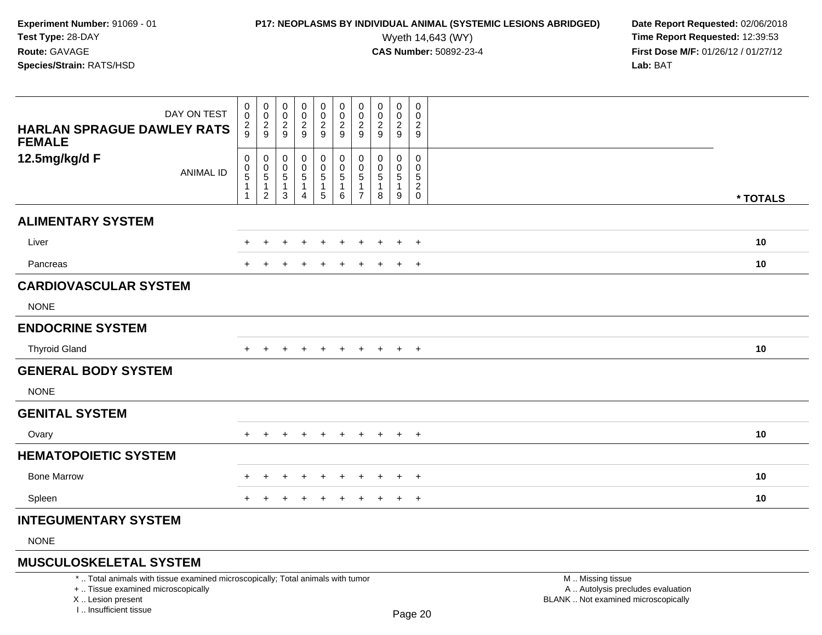## **P17: NEOPLASMS BY INDIVIDUAL ANIMAL (SYSTEMIC LESIONS ABRIDGED)** Date Report Requested: 02/06/2018<br>Wyeth 14,643 (WY) **Time Report Requested: 12:39:53**

Wyeth 14,643 (WY) **Time Report Requested:** 12:39:53<br>**CAS Number:** 50892-23-4 **Time Report Requested:** 12:39:53 **First Dose M/F:** 01/26/12 / 01/27/12<br>**Lab:** BAT **Lab:** BAT

| DAY ON TEST<br><b>HARLAN SPRAGUE DAWLEY RATS</b><br><b>FEMALE</b> | 0<br>0<br>$\overline{c}$<br>9       | $\mathbf 0$<br>$\mathbf 0$<br>$\frac{2}{9}$   | 0<br>$\pmb{0}$<br>$\overline{c}$<br>$\boldsymbol{9}$ | 0<br>$\boldsymbol{0}$<br>$\overline{a}$<br>9 | $\mathbf 0$<br>$\boldsymbol{0}$<br>$\frac{2}{9}$ | 0<br>$\pmb{0}$<br>$\sqrt{2}$<br>$\boldsymbol{9}$          | 0<br>0<br>$\overline{c}$<br>9 | 0<br>0<br>$\boldsymbol{2}$<br>9 | 0<br>$\mathbf 0$<br>$\overline{c}$<br>9 | 0<br>$\mathbf 0$<br>$\overline{2}$<br>9   |          |
|-------------------------------------------------------------------|-------------------------------------|-----------------------------------------------|------------------------------------------------------|----------------------------------------------|--------------------------------------------------|-----------------------------------------------------------|-------------------------------|---------------------------------|-----------------------------------------|-------------------------------------------|----------|
| 12.5mg/kg/d F<br><b>ANIMAL ID</b>                                 | 0<br>0<br>5<br>$\overline{1}$<br>-1 | 0<br>0<br>5<br>$\mathbf{1}$<br>$\overline{2}$ | 0<br>0<br>5<br>1<br>3                                | 0<br>0<br>5<br>1<br>4                        | 0<br>0<br>$\sqrt{5}$<br>$\mathbf{1}$<br>5        | 0<br>$\mathbf 0$<br>$\sqrt{5}$<br>$\mathbf{1}$<br>$\,6\,$ | 0<br>5<br>$\overline{7}$      | 0<br>0<br>5<br>1<br>8           | 0<br>0<br>5<br>1<br>9                   | 0<br>$\Omega$<br>5<br>$\overline{a}$<br>0 | * TOTALS |
| <b>ALIMENTARY SYSTEM</b>                                          |                                     |                                               |                                                      |                                              |                                                  |                                                           |                               |                                 |                                         |                                           |          |
| Liver                                                             |                                     |                                               |                                                      |                                              |                                                  |                                                           |                               |                                 |                                         | $\overline{+}$                            | 10       |
| Pancreas                                                          |                                     |                                               |                                                      | $\pm$                                        | $\pm$                                            | $\pm$                                                     | ٠                             |                                 | $\ddot{}$                               | $+$                                       | 10       |
| <b>CARDIOVASCULAR SYSTEM</b>                                      |                                     |                                               |                                                      |                                              |                                                  |                                                           |                               |                                 |                                         |                                           |          |
| <b>NONE</b>                                                       |                                     |                                               |                                                      |                                              |                                                  |                                                           |                               |                                 |                                         |                                           |          |
| <b>ENDOCRINE SYSTEM</b>                                           |                                     |                                               |                                                      |                                              |                                                  |                                                           |                               |                                 |                                         |                                           |          |
| <b>Thyroid Gland</b>                                              |                                     |                                               |                                                      | $\ddot{}$                                    | $\ddot{}$                                        | $\pm$                                                     | $\pm$                         | $+$                             | $+$                                     | $+$                                       | 10       |
| <b>GENERAL BODY SYSTEM</b>                                        |                                     |                                               |                                                      |                                              |                                                  |                                                           |                               |                                 |                                         |                                           |          |
| <b>NONE</b>                                                       |                                     |                                               |                                                      |                                              |                                                  |                                                           |                               |                                 |                                         |                                           |          |
| <b>GENITAL SYSTEM</b>                                             |                                     |                                               |                                                      |                                              |                                                  |                                                           |                               |                                 |                                         |                                           |          |
| Ovary                                                             |                                     |                                               |                                                      |                                              |                                                  |                                                           |                               |                                 | $\ddot{}$                               | $+$                                       | 10       |
| <b>HEMATOPOIETIC SYSTEM</b>                                       |                                     |                                               |                                                      |                                              |                                                  |                                                           |                               |                                 |                                         |                                           |          |
| <b>Bone Marrow</b>                                                |                                     | $\pm$                                         |                                                      | $\pm$                                        | $\pm$                                            | $\div$                                                    | $\pm$                         | $\pm$                           | $\overline{+}$                          | $+$                                       | 10       |
| Spleen                                                            | $\pm$                               |                                               |                                                      | $\div$                                       | $\ddot{}$                                        | $\ddot{}$                                                 | $\pm$                         | $\pm$                           | $\ddot{}$                               | $+$                                       | 10       |
| <b>INTEGUMENTARY SYSTEM</b>                                       |                                     |                                               |                                                      |                                              |                                                  |                                                           |                               |                                 |                                         |                                           |          |
| <b>NIONIE</b>                                                     |                                     |                                               |                                                      |                                              |                                                  |                                                           |                               |                                 |                                         |                                           |          |

NONE

### **MUSCULOSKELETAL SYSTEM**

\* .. Total animals with tissue examined microscopically; Total animals with tumor

+ .. Tissue examined microscopically

X .. Lesion present

I .. Insufficient tissue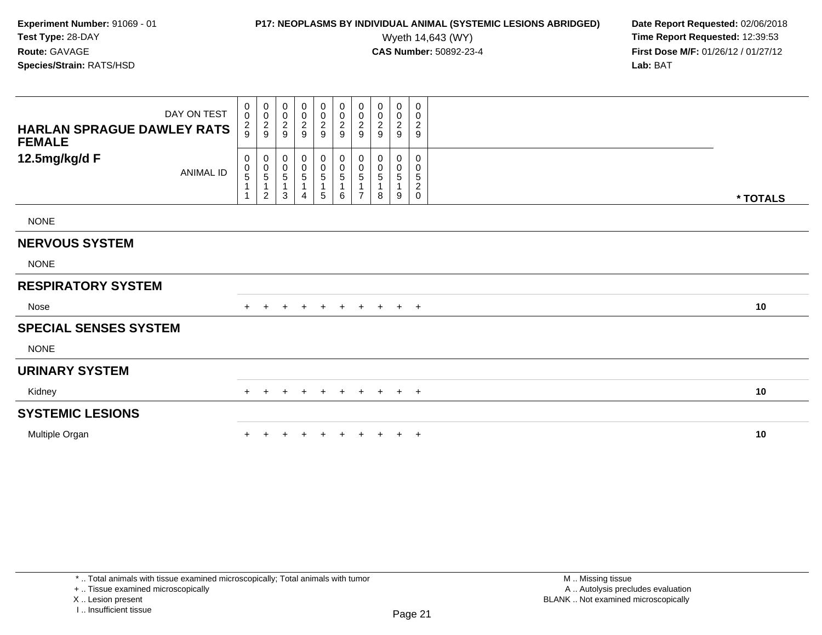## **P17: NEOPLASMS BY INDIVIDUAL ANIMAL (SYSTEMIC LESIONS ABRIDGED)** Date Report Requested: 02/06/2018<br>Wyeth 14,643 (WY) **Time Report Requested: 12:39:53**

Wyeth 14,643 (WY) **Time Report Requested:** 12:39:53<br>**CAS Number:** 50892-23-4 **Time Report Requested:** 12:39:53 **First Dose M/F:** 01/26/12 / 01/27/12<br>**Lab:** BAT **Lab:** BAT

| DAY ON TEST<br><b>HARLAN SPRAGUE DAWLEY RATS</b><br><b>FEMALE</b> | 0<br>$\pmb{0}$<br>$\frac{2}{9}$ | $\overline{0}$<br>$\pmb{0}$<br>$\frac{2}{9}$                                 | $\pmb{0}$<br>$\pmb{0}$<br>$\frac{2}{9}$                    | $\begin{array}{c} 0 \\ 0 \\ 2 \\ 9 \end{array}$    | 0<br>$\pmb{0}$<br>$\frac{2}{9}$                 | $\boldsymbol{0}$<br>$\frac{0}{2}$                    | 0<br>$\pmb{0}$<br>$\sqrt{2}$<br>9 | 0<br>$\pmb{0}$<br>$\overline{c}$<br>9 | 0<br>$\pmb{0}$<br>$\frac{2}{9}$ | 0<br>$\pmb{0}$<br>$\overline{c}$<br>$\boldsymbol{9}$ |          |  |
|-------------------------------------------------------------------|---------------------------------|------------------------------------------------------------------------------|------------------------------------------------------------|----------------------------------------------------|-------------------------------------------------|------------------------------------------------------|-----------------------------------|---------------------------------------|---------------------------------|------------------------------------------------------|----------|--|
| 12.5mg/kg/d F<br>ANIMAL ID                                        | 0<br>$\mathbf 0$<br>$\sqrt{5}$  | 0<br>$\begin{array}{c} 0 \\ 5 \end{array}$<br>$\mathbf{1}$<br>$\overline{2}$ | 0<br>$\begin{smallmatrix}0\0\0\end{smallmatrix}$<br>1<br>3 | $\begin{smallmatrix}0\0\0\5\end{smallmatrix}$<br>4 | 0<br>$\begin{array}{c} 0 \\ 5 \end{array}$<br>5 | $\mathbf 0$<br>$\pmb{0}$<br>$\sqrt{5}$<br>1<br>$\,6$ | 0<br>0<br>5<br>$\overline{ }$     | 0<br>0<br>5<br>8                      | $\mathbf 0$<br>0<br>5<br>9      | 0<br>$\pmb{0}$<br>$\,$ 5 $\,$<br>$\frac{2}{0}$       | * TOTALS |  |
| <b>NONE</b>                                                       |                                 |                                                                              |                                                            |                                                    |                                                 |                                                      |                                   |                                       |                                 |                                                      |          |  |
| <b>NERVOUS SYSTEM</b>                                             |                                 |                                                                              |                                                            |                                                    |                                                 |                                                      |                                   |                                       |                                 |                                                      |          |  |
| <b>NONE</b>                                                       |                                 |                                                                              |                                                            |                                                    |                                                 |                                                      |                                   |                                       |                                 |                                                      |          |  |
| <b>RESPIRATORY SYSTEM</b>                                         |                                 |                                                                              |                                                            |                                                    |                                                 |                                                      |                                   |                                       |                                 |                                                      |          |  |
| Nose                                                              |                                 |                                                                              |                                                            | $\ddot{}$                                          | $\ddot{}$                                       | $+$                                                  | $\ddot{}$                         | $\pm$                                 | $+$                             | $+$                                                  | 10       |  |
| <b>SPECIAL SENSES SYSTEM</b>                                      |                                 |                                                                              |                                                            |                                                    |                                                 |                                                      |                                   |                                       |                                 |                                                      |          |  |
| <b>NONE</b>                                                       |                                 |                                                                              |                                                            |                                                    |                                                 |                                                      |                                   |                                       |                                 |                                                      |          |  |
| <b>URINARY SYSTEM</b>                                             |                                 |                                                                              |                                                            |                                                    |                                                 |                                                      |                                   |                                       |                                 |                                                      |          |  |
| Kidney                                                            | $\pm$                           |                                                                              |                                                            | $\pm$                                              | $+$                                             | $+$                                                  | $\pm$                             | $+$                                   | $+$                             | $+$                                                  | 10       |  |
| <b>SYSTEMIC LESIONS</b>                                           |                                 |                                                                              |                                                            |                                                    |                                                 |                                                      |                                   |                                       |                                 |                                                      |          |  |
| Multiple Organ                                                    |                                 |                                                                              |                                                            | $\div$                                             |                                                 |                                                      |                                   |                                       | $+$                             | $+$                                                  | 10       |  |

+ .. Tissue examined microscopically

X .. Lesion present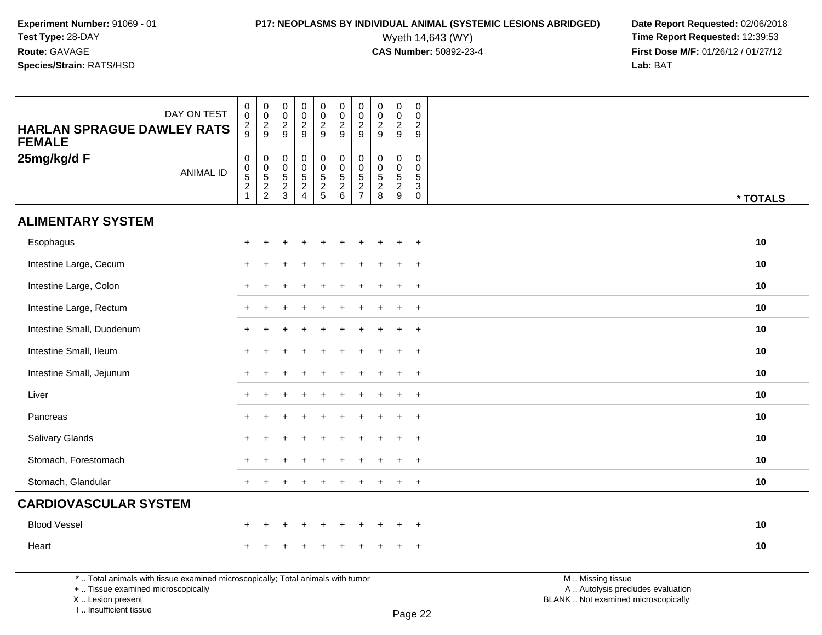# **P17: NEOPLASMS BY INDIVIDUAL ANIMAL (SYSTEMIC LESIONS ABRIDGED)** Date Report Requested: 02/06/2018<br>Wyeth 14,643 (WY) **Time Report Requested:** 12:39:53

Wyeth 14,643 (WY) **Time Report Requested:** 12:39:53<br>**CAS Number:** 50892-23-4 **Time Report Requested:** 12:39:53 **First Dose M/F:** 01/26/12 / 01/27/12<br>**Lab:** BAT **Lab:** BAT

| DAY ON TEST<br><b>HARLAN SPRAGUE DAWLEY RATS</b><br><b>FEMALE</b> | $\pmb{0}$<br>$\ddot{\mathbf{0}}$<br>$\frac{2}{9}$ | $\begin{array}{c} 0 \\ 0 \\ 2 \\ 9 \end{array}$ | $\mathbf 0$<br>$\overline{0}$<br>$\frac{2}{9}$ | $\pmb{0}$<br>$\ddot{\mathbf{0}}$<br>$\frac{2}{9}$   | $\pmb{0}$<br>$\frac{0}{2}$ | $_{\rm 0}^{\rm 0}$<br>$\frac{2}{9}$                          | $\pmb{0}$<br>$\mathsf{O}\xspace$<br>$\frac{2}{9}$                  | $\pmb{0}$<br>$\frac{0}{2}$            | $\pmb{0}$<br>$\mathsf{O}\xspace$<br>$\frac{2}{9}$ | $\mathbf 0$<br>$\mathbf 0$<br>$\sqrt{2}$<br>9                     |          |
|-------------------------------------------------------------------|---------------------------------------------------|-------------------------------------------------|------------------------------------------------|-----------------------------------------------------|----------------------------|--------------------------------------------------------------|--------------------------------------------------------------------|---------------------------------------|---------------------------------------------------|-------------------------------------------------------------------|----------|
| 25mg/kg/d F<br><b>ANIMAL ID</b>                                   | $\begin{matrix}0\\0\\5\\2\end{matrix}$            | 0<br>0<br>5<br>2<br>2                           | 0<br>0<br>5<br>2<br>3                          | $\begin{matrix} 0 \\ 0 \\ 5 \\ 2 \\ 4 \end{matrix}$ | 0<br>0<br>5<br>2<br>5      | $\begin{smallmatrix}0\0\0\end{smallmatrix}$<br>$\frac{5}{2}$ | 0<br>$\mathbf 0$<br>$\sqrt{5}$<br>$\overline{c}$<br>$\overline{7}$ | $\pmb{0}$<br>$0$<br>$5$<br>$2$<br>$8$ | 0<br>$\mathbf 0$<br>$\frac{5}{2}$                 | $\pmb{0}$<br>$\mathbf 0$<br>$\overline{5}$<br>3<br>$\overline{0}$ | * TOTALS |
| <b>ALIMENTARY SYSTEM</b>                                          |                                                   |                                                 |                                                |                                                     |                            |                                                              |                                                                    |                                       |                                                   |                                                                   |          |
| Esophagus                                                         | $\div$                                            |                                                 |                                                |                                                     |                            |                                                              |                                                                    |                                       | $\ddot{}$                                         | $\overline{+}$                                                    | 10       |
| Intestine Large, Cecum                                            |                                                   |                                                 |                                                |                                                     |                            |                                                              |                                                                    |                                       | $\ddot{}$                                         | $+$                                                               | 10       |
| Intestine Large, Colon                                            | $+$                                               |                                                 |                                                |                                                     |                            | ÷.                                                           |                                                                    |                                       | $\ddot{}$                                         | $+$                                                               | 10       |
| Intestine Large, Rectum                                           | $+$                                               |                                                 |                                                |                                                     |                            |                                                              |                                                                    |                                       | $\ddot{}$                                         | $+$                                                               | 10       |
| Intestine Small, Duodenum                                         | $\div$                                            |                                                 |                                                |                                                     |                            |                                                              |                                                                    |                                       | ÷                                                 | $\overline{+}$                                                    | 10       |
| Intestine Small, Ileum                                            | $\div$                                            |                                                 |                                                |                                                     |                            |                                                              |                                                                    |                                       | ÷                                                 | $+$                                                               | 10       |
| Intestine Small, Jejunum                                          | $\ddot{}$                                         |                                                 |                                                |                                                     |                            |                                                              |                                                                    |                                       | $\ddot{}$                                         | $+$                                                               | 10       |
| Liver                                                             | $\ddot{}$                                         |                                                 |                                                |                                                     |                            |                                                              |                                                                    |                                       | $\ddot{}$                                         | $+$                                                               | 10       |
| Pancreas                                                          | $\ddot{}$                                         |                                                 |                                                |                                                     |                            |                                                              |                                                                    |                                       | $\ddot{}$                                         | $+$                                                               | 10       |
| Salivary Glands                                                   | $\div$                                            |                                                 |                                                |                                                     |                            |                                                              |                                                                    |                                       | $\div$                                            | $+$                                                               | 10       |
| Stomach, Forestomach                                              | $\ddot{}$                                         |                                                 |                                                |                                                     |                            | ÷                                                            |                                                                    |                                       | $\ddot{}$                                         | $+$                                                               | 10       |
| Stomach, Glandular                                                | $\pm$                                             |                                                 |                                                |                                                     |                            |                                                              |                                                                    |                                       | +                                                 | $+$                                                               | 10       |
| <b>CARDIOVASCULAR SYSTEM</b>                                      |                                                   |                                                 |                                                |                                                     |                            |                                                              |                                                                    |                                       |                                                   |                                                                   |          |
| <b>Blood Vessel</b>                                               | $\ddot{}$                                         | $\div$                                          | ÷                                              | $\ddot{}$                                           | $\ddot{}$                  | $\ddot{}$                                                    | ÷                                                                  | $\div$                                | $\ddot{}$                                         | $+$                                                               | 10       |
| Heart                                                             |                                                   |                                                 |                                                |                                                     |                            |                                                              |                                                                    |                                       |                                                   | $\ddot{}$                                                         | 10       |

\* .. Total animals with tissue examined microscopically; Total animals with tumor

+ .. Tissue examined microscopically

X .. Lesion present

I .. Insufficient tissue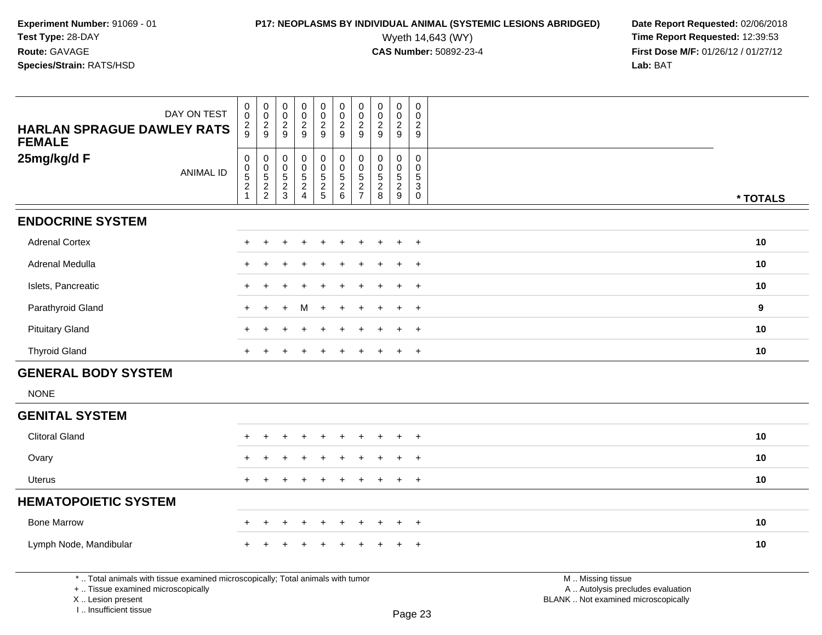# **P17: NEOPLASMS BY INDIVIDUAL ANIMAL (SYSTEMIC LESIONS ABRIDGED)** Date Report Requested: 02/06/2018<br>Wyeth 14,643 (WY) **Time Report Requested: 12:39:53**

| DAY ON TEST<br><b>HARLAN SPRAGUE DAWLEY RATS</b><br><b>FEMALE</b>                                                                                                     | 0<br>$\mathbf 0$<br>$\frac{2}{9}$                                                    | $\boldsymbol{0}$<br>$\mathsf{O}\xspace$<br>$\frac{2}{9}$ | 0<br>$\mathsf 0$<br>$\sqrt{2}$<br>9             | $\mathbf 0$<br>$\mathbf 0$<br>$\sqrt{2}$<br>9                  | $\pmb{0}$<br>$\mathsf 0$<br>$\sqrt{2}$<br>9   | $\pmb{0}$<br>$\mathsf{O}\xspace$<br>$\frac{2}{9}$      | $\mathbf 0$<br>$\mathbf 0$<br>$\sqrt{2}$<br>9                | $\pmb{0}$<br>0<br>$\sqrt{2}$<br>9               | $\pmb{0}$<br>$\pmb{0}$<br>$\overline{2}$<br>9                     | 0<br>$\mathbf 0$<br>$\sqrt{2}$<br>9                         |                                                                                               |          |
|-----------------------------------------------------------------------------------------------------------------------------------------------------------------------|--------------------------------------------------------------------------------------|----------------------------------------------------------|-------------------------------------------------|----------------------------------------------------------------|-----------------------------------------------|--------------------------------------------------------|--------------------------------------------------------------|-------------------------------------------------|-------------------------------------------------------------------|-------------------------------------------------------------|-----------------------------------------------------------------------------------------------|----------|
| 25mg/kg/d F<br><b>ANIMAL ID</b>                                                                                                                                       | $\pmb{0}$<br>$\begin{array}{c} 0 \\ 5 \end{array}$<br>$\overline{2}$<br>$\mathbf{1}$ | 0<br>0<br>5<br>2<br>2                                    | 0<br>$\mathbf 0$<br>$\sqrt{5}$<br>$\frac{2}{3}$ | $\mathbf 0$<br>$\mathbf 0$<br>$5\phantom{.0}$<br>$\frac{2}{4}$ | 0<br>$\pmb{0}$<br>$\sqrt{5}$<br>$\frac{2}{5}$ | $_{\rm 0}^{\rm 0}$<br>$5\phantom{.0}$<br>$\frac{2}{6}$ | $\mathbf 0$<br>$\overline{0}$<br>$\sqrt{5}$<br>$\frac{2}{7}$ | 0<br>$\mathbf 0$<br>$\sqrt{5}$<br>$\frac{2}{8}$ | $\mathbf 0$<br>$\ddot{\mathbf{0}}$<br>$\sqrt{5}$<br>$\frac{2}{9}$ | 0<br>$\mathbf 0$<br>$\sqrt{5}$<br>$\sqrt{3}$<br>$\mathbf 0$ |                                                                                               | * TOTALS |
| <b>ENDOCRINE SYSTEM</b>                                                                                                                                               |                                                                                      |                                                          |                                                 |                                                                |                                               |                                                        |                                                              |                                                 |                                                                   |                                                             |                                                                                               |          |
| <b>Adrenal Cortex</b>                                                                                                                                                 |                                                                                      |                                                          |                                                 |                                                                |                                               |                                                        |                                                              |                                                 |                                                                   | $+$                                                         |                                                                                               | 10       |
| Adrenal Medulla                                                                                                                                                       |                                                                                      |                                                          |                                                 |                                                                |                                               |                                                        |                                                              |                                                 |                                                                   | $\overline{ }$                                              |                                                                                               | 10       |
| Islets, Pancreatic                                                                                                                                                    |                                                                                      |                                                          |                                                 |                                                                |                                               |                                                        |                                                              |                                                 |                                                                   | $\div$                                                      |                                                                                               | 10       |
| Parathyroid Gland                                                                                                                                                     |                                                                                      |                                                          |                                                 | M                                                              |                                               |                                                        |                                                              |                                                 |                                                                   | $\div$                                                      |                                                                                               | 9        |
| <b>Pituitary Gland</b>                                                                                                                                                |                                                                                      |                                                          |                                                 |                                                                |                                               |                                                        |                                                              |                                                 |                                                                   | $\div$                                                      |                                                                                               | 10       |
| <b>Thyroid Gland</b>                                                                                                                                                  | $+$                                                                                  | $\overline{+}$                                           | $\ddot{}$                                       | $\ddot{}$                                                      | $\ddot{}$                                     | $\ddot{}$                                              | $\pm$                                                        | $+$                                             | $+$                                                               | $+$                                                         |                                                                                               | 10       |
| <b>GENERAL BODY SYSTEM</b>                                                                                                                                            |                                                                                      |                                                          |                                                 |                                                                |                                               |                                                        |                                                              |                                                 |                                                                   |                                                             |                                                                                               |          |
| <b>NONE</b>                                                                                                                                                           |                                                                                      |                                                          |                                                 |                                                                |                                               |                                                        |                                                              |                                                 |                                                                   |                                                             |                                                                                               |          |
| <b>GENITAL SYSTEM</b>                                                                                                                                                 |                                                                                      |                                                          |                                                 |                                                                |                                               |                                                        |                                                              |                                                 |                                                                   |                                                             |                                                                                               |          |
| <b>Clitoral Gland</b>                                                                                                                                                 |                                                                                      |                                                          |                                                 |                                                                | ÷                                             |                                                        | ÷                                                            | ÷                                               | $\div$                                                            | $+$                                                         |                                                                                               | 10       |
| Ovary                                                                                                                                                                 |                                                                                      |                                                          |                                                 |                                                                |                                               |                                                        |                                                              |                                                 |                                                                   | $\ddot{}$                                                   |                                                                                               | 10       |
| <b>Uterus</b>                                                                                                                                                         | $\pm$                                                                                |                                                          |                                                 |                                                                |                                               |                                                        |                                                              |                                                 |                                                                   | $+$                                                         |                                                                                               | 10       |
| <b>HEMATOPOIETIC SYSTEM</b>                                                                                                                                           |                                                                                      |                                                          |                                                 |                                                                |                                               |                                                        |                                                              |                                                 |                                                                   |                                                             |                                                                                               |          |
| <b>Bone Marrow</b>                                                                                                                                                    |                                                                                      |                                                          |                                                 |                                                                |                                               |                                                        |                                                              |                                                 |                                                                   | $\overline{+}$                                              |                                                                                               | 10       |
| Lymph Node, Mandibular                                                                                                                                                |                                                                                      |                                                          |                                                 |                                                                |                                               |                                                        |                                                              |                                                 |                                                                   | $\ddot{}$                                                   |                                                                                               | 10       |
| *  Total animals with tissue examined microscopically; Total animals with tumor<br>+  Tissue examined microscopically<br>X  Lesion present<br>I., Insufficient tissue |                                                                                      |                                                          |                                                 |                                                                |                                               |                                                        |                                                              |                                                 |                                                                   | Page 23                                                     | M  Missing tissue<br>A  Autolysis precludes evaluation<br>BLANK  Not examined microscopically |          |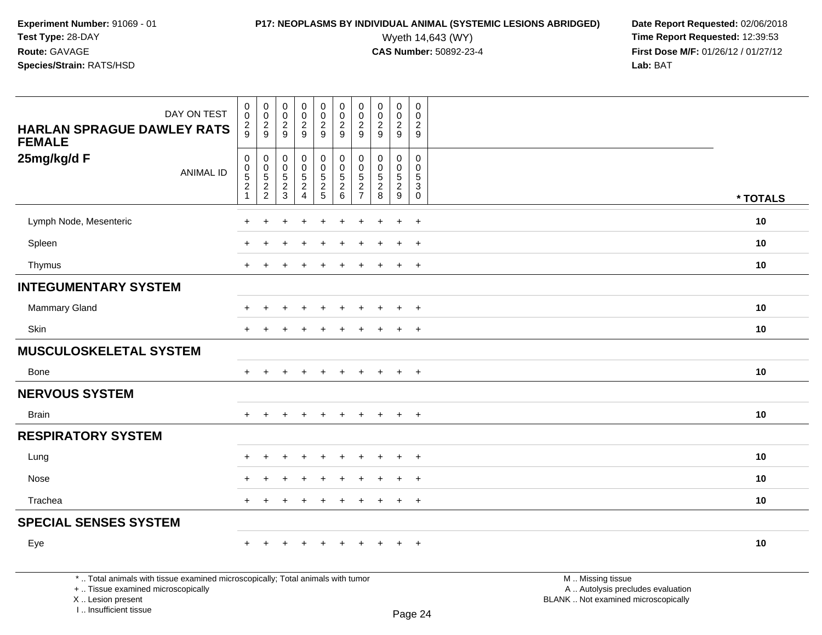**Experiment Number:** 91069 - 01**Test Type:** 28-DAY**Route:** GAVAGE

### **Species/Strain:** RATS/HSD

Wyeth 14,643 (WY) **Time Report Requested:** 12:39:53<br>**CAS Number:** 50892-23-4 **Time Report Requested:** 12:39:53 **First Dose M/F:** 01/26/12 / 01/27/12<br>Lab: BAT **Lab:** BAT

| DAY ON TEST<br><b>HARLAN SPRAGUE DAWLEY RATS</b><br><b>FEMALE</b>                                                     | $\pmb{0}$<br>$\mathbf 0$<br>$\overline{c}$<br>9                                     | $\pmb{0}$<br>$\mathsf{O}\xspace$<br>$\frac{2}{9}$ | $\pmb{0}$<br>$\mathbf 0$<br>$\frac{2}{9}$                         | $\pmb{0}$<br>$\mathbf 0$<br>$\overline{2}$<br>9     | $\pmb{0}$<br>$\mathbf 0$<br>$\frac{2}{9}$ | $\pmb{0}$<br>$\mathbf 0$<br>$\overline{2}$<br>9     | $\pmb{0}$<br>0<br>$\overline{c}$<br>9                              | $\pmb{0}$<br>$\mathbf 0$<br>$\overline{2}$<br>$9\,$ | $\pmb{0}$<br>$\mathbf 0$<br>$\overline{c}$<br>9      | $\mathbf 0$<br>$\mathbf 0$<br>$\overline{c}$<br>9                |                                                        |          |
|-----------------------------------------------------------------------------------------------------------------------|-------------------------------------------------------------------------------------|---------------------------------------------------|-------------------------------------------------------------------|-----------------------------------------------------|-------------------------------------------|-----------------------------------------------------|--------------------------------------------------------------------|-----------------------------------------------------|------------------------------------------------------|------------------------------------------------------------------|--------------------------------------------------------|----------|
| 25mg/kg/d F<br><b>ANIMAL ID</b>                                                                                       | $\pmb{0}$<br>$\ddot{\mathbf{0}}$<br>$\,$ 5 $\,$<br>$\overline{2}$<br>$\overline{1}$ | $\mathbf 0$<br>$\pmb{0}$<br>$\frac{5}{2}$         | $\pmb{0}$<br>$\boldsymbol{0}$<br>$5\phantom{.0}$<br>$\frac{2}{3}$ | 0<br>$\mathbf 0$<br>$\overline{5}$<br>$\frac{2}{4}$ | 0<br>0<br>5<br>2<br>5                     | $\mathbf 0$<br>$\mathsf{O}\xspace$<br>$\frac{5}{2}$ | $\mathbf 0$<br>0<br>$\sqrt{5}$<br>$\overline{2}$<br>$\overline{7}$ | $\mathbf 0$<br>$\mathsf{O}\xspace$<br>$\frac{5}{2}$ | 0<br>$\mathbf 0$<br>$5\phantom{.0}$<br>$\frac{2}{9}$ | $\mathbf 0$<br>$\mathbf 0$<br>5<br>$\overline{3}$<br>$\mathbf 0$ |                                                        | * TOTALS |
| Lymph Node, Mesenteric                                                                                                | $\ddot{}$                                                                           | $\ddot{}$                                         | ÷                                                                 | $\ddot{}$                                           | $\ddot{}$                                 | $\ddot{}$                                           | $\ddot{}$                                                          | $\overline{1}$                                      | $\ddot{}$                                            | $+$                                                              |                                                        | 10       |
| Spleen                                                                                                                |                                                                                     |                                                   |                                                                   |                                                     |                                           |                                                     |                                                                    |                                                     |                                                      | $+$                                                              |                                                        | 10       |
| Thymus                                                                                                                |                                                                                     |                                                   |                                                                   |                                                     |                                           |                                                     |                                                                    |                                                     | $\ddot{}$                                            | $+$                                                              |                                                        | 10       |
| <b>INTEGUMENTARY SYSTEM</b>                                                                                           |                                                                                     |                                                   |                                                                   |                                                     |                                           |                                                     |                                                                    |                                                     |                                                      |                                                                  |                                                        |          |
| Mammary Gland                                                                                                         |                                                                                     |                                                   |                                                                   |                                                     |                                           |                                                     |                                                                    |                                                     | $\ddot{}$                                            | $+$                                                              |                                                        | 10       |
| Skin                                                                                                                  |                                                                                     |                                                   |                                                                   |                                                     |                                           |                                                     |                                                                    |                                                     | $\pm$                                                | $+$                                                              |                                                        | 10       |
| <b>MUSCULOSKELETAL SYSTEM</b>                                                                                         |                                                                                     |                                                   |                                                                   |                                                     |                                           |                                                     |                                                                    |                                                     |                                                      |                                                                  |                                                        |          |
| Bone                                                                                                                  | $+$                                                                                 |                                                   |                                                                   |                                                     |                                           |                                                     |                                                                    |                                                     | $\ddot{}$                                            | $+$                                                              |                                                        | 10       |
| <b>NERVOUS SYSTEM</b>                                                                                                 |                                                                                     |                                                   |                                                                   |                                                     |                                           |                                                     |                                                                    |                                                     |                                                      |                                                                  |                                                        |          |
| <b>Brain</b>                                                                                                          | $+$                                                                                 | $+$                                               | $\ddot{}$                                                         | $\ddot{}$                                           | $+$                                       | $+$                                                 | $+$                                                                | $+$                                                 | $+$                                                  | $+$                                                              |                                                        | 10       |
| <b>RESPIRATORY SYSTEM</b>                                                                                             |                                                                                     |                                                   |                                                                   |                                                     |                                           |                                                     |                                                                    |                                                     |                                                      |                                                                  |                                                        |          |
| Lung                                                                                                                  |                                                                                     |                                                   |                                                                   |                                                     |                                           |                                                     |                                                                    |                                                     |                                                      | $\overline{+}$                                                   |                                                        | 10       |
| Nose                                                                                                                  |                                                                                     |                                                   |                                                                   |                                                     |                                           |                                                     |                                                                    |                                                     |                                                      | $\pm$                                                            |                                                        | 10       |
| Trachea                                                                                                               | $\div$                                                                              |                                                   |                                                                   |                                                     |                                           |                                                     |                                                                    |                                                     | $+$                                                  | $+$                                                              |                                                        | 10       |
| <b>SPECIAL SENSES SYSTEM</b>                                                                                          |                                                                                     |                                                   |                                                                   |                                                     |                                           |                                                     |                                                                    |                                                     |                                                      |                                                                  |                                                        |          |
| Eye                                                                                                                   |                                                                                     |                                                   |                                                                   |                                                     |                                           |                                                     |                                                                    |                                                     | $\pm$                                                | $+$                                                              |                                                        | 10       |
| *  Total animals with tissue examined microscopically; Total animals with tumor<br>+  Tissue examined microscopically |                                                                                     |                                                   |                                                                   |                                                     |                                           |                                                     |                                                                    |                                                     |                                                      |                                                                  | M  Missing tissue<br>A  Autolysis precludes evaluation |          |

 Lesion present BLANK .. Not examined microscopicallyX .. Lesion present